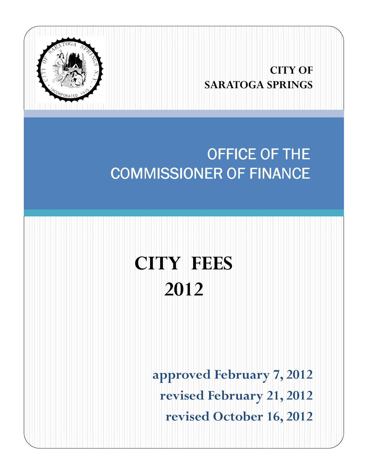

## **CITY OF SARATOGA SPRINGS**

## OFFICE OF THE **COMMISSIONER OF FINANCE**

# **CITY FEES 2012**

**approved February 7, 2012 revised February 21, 2012 revised October 16, 2012**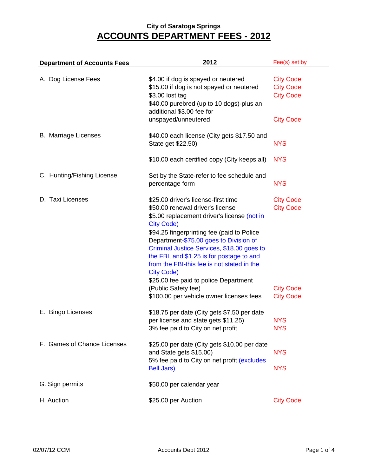| <b>Department of Accounts Fees</b> | 2012                                                                                                                                                                                                                                                                                                                                                                                                                                                                                                          | Fee(s) set by                                                                |  |
|------------------------------------|---------------------------------------------------------------------------------------------------------------------------------------------------------------------------------------------------------------------------------------------------------------------------------------------------------------------------------------------------------------------------------------------------------------------------------------------------------------------------------------------------------------|------------------------------------------------------------------------------|--|
| A. Dog License Fees                | \$4.00 if dog is spayed or neutered<br>\$15.00 if dog is not spayed or neutered<br>\$3.00 lost tag<br>\$40.00 purebred (up to 10 dogs)-plus an<br>additional \$3.00 fee for                                                                                                                                                                                                                                                                                                                                   | <b>City Code</b><br><b>City Code</b><br><b>City Code</b>                     |  |
|                                    | unspayed/unneutered                                                                                                                                                                                                                                                                                                                                                                                                                                                                                           | <b>City Code</b>                                                             |  |
| <b>B.</b> Marriage Licenses        | \$40.00 each license (City gets \$17.50 and<br>State get \$22.50)                                                                                                                                                                                                                                                                                                                                                                                                                                             | <b>NYS</b>                                                                   |  |
|                                    | \$10.00 each certified copy (City keeps all)                                                                                                                                                                                                                                                                                                                                                                                                                                                                  | <b>NYS</b>                                                                   |  |
| C. Hunting/Fishing License         | Set by the State-refer to fee schedule and<br>percentage form                                                                                                                                                                                                                                                                                                                                                                                                                                                 | <b>NYS</b>                                                                   |  |
| D. Taxi Licenses                   | \$25.00 driver's license-first time<br>\$50.00 renewal driver's license<br>\$5.00 replacement driver's license (not in<br><b>City Code)</b><br>\$94.25 fingerprinting fee (paid to Police<br>Department-\$75.00 goes to Division of<br>Criminal Justice Services, \$18.00 goes to<br>the FBI, and \$1.25 is for postage to and<br>from the FBI-this fee is not stated in the<br><b>City Code)</b><br>\$25.00 fee paid to police Department<br>(Public Safety fee)<br>\$100.00 per vehicle owner licenses fees | <b>City Code</b><br><b>City Code</b><br><b>City Code</b><br><b>City Code</b> |  |
| E. Bingo Licenses                  | \$18.75 per date (City gets \$7.50 per date<br>per license and state gets \$11.25)<br>3% fee paid to City on net profit                                                                                                                                                                                                                                                                                                                                                                                       | <b>NYS</b><br><b>NYS</b>                                                     |  |
| F. Games of Chance Licenses        | \$25.00 per date (City gets \$10.00 per date<br>and State gets \$15.00)<br>5% fee paid to City on net profit (excludes<br><b>Bell Jars)</b>                                                                                                                                                                                                                                                                                                                                                                   | <b>NYS</b><br><b>NYS</b>                                                     |  |
|                                    |                                                                                                                                                                                                                                                                                                                                                                                                                                                                                                               |                                                                              |  |
| G. Sign permits                    | \$50.00 per calendar year                                                                                                                                                                                                                                                                                                                                                                                                                                                                                     |                                                                              |  |
| H. Auction                         | \$25.00 per Auction                                                                                                                                                                                                                                                                                                                                                                                                                                                                                           | <b>City Code</b>                                                             |  |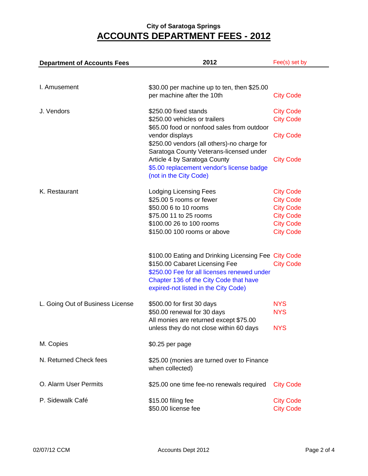| <b>Department of Accounts Fees</b> | 2012                                                                        | Fee(s) set by    |
|------------------------------------|-----------------------------------------------------------------------------|------------------|
|                                    |                                                                             |                  |
| I. Amusement                       | \$30.00 per machine up to ten, then \$25.00                                 |                  |
|                                    | per machine after the 10th                                                  | <b>City Code</b> |
| J. Vendors                         | \$250.00 fixed stands                                                       | <b>City Code</b> |
|                                    | \$250.00 vehicles or trailers<br>\$65.00 food or nonfood sales from outdoor | <b>City Code</b> |
|                                    | vendor displays                                                             | <b>City Code</b> |
|                                    | \$250.00 vendors (all others)-no charge for                                 |                  |
|                                    | Saratoga County Veterans-licensed under<br>Article 4 by Saratoga County     | <b>City Code</b> |
|                                    | \$5.00 replacement vendor's license badge                                   |                  |
|                                    | (not in the City Code)                                                      |                  |
| K. Restaurant                      | Lodging Licensing Fees                                                      | <b>City Code</b> |
|                                    | \$25.00 5 rooms or fewer                                                    | <b>City Code</b> |
|                                    | \$50.00 6 to 10 rooms                                                       | <b>City Code</b> |
|                                    | \$75.00 11 to 25 rooms                                                      | <b>City Code</b> |
|                                    | \$100.00 26 to 100 rooms                                                    | <b>City Code</b> |
|                                    | \$150.00 100 rooms or above                                                 | <b>City Code</b> |
|                                    | \$100.00 Eating and Drinking Licensing Fee City Code                        |                  |
|                                    | \$150.00 Cabaret Licensing Fee                                              | <b>City Code</b> |
|                                    | \$250.00 Fee for all licenses renewed under                                 |                  |
|                                    | Chapter 136 of the City Code that have                                      |                  |
|                                    | expired-not listed in the City Code)                                        |                  |
| L. Going Out of Business License   | \$500.00 for first 30 days                                                  | <b>NYS</b>       |
|                                    | \$50.00 renewal for 30 days                                                 | <b>NYS</b>       |
|                                    | All monies are returned except \$75.00                                      |                  |
|                                    | unless they do not close within 60 days                                     | <b>NYS</b>       |
| M. Copies                          | \$0.25 per page                                                             |                  |
| N. Returned Check fees             | \$25.00 (monies are turned over to Finance                                  |                  |
|                                    | when collected)                                                             |                  |
| O. Alarm User Permits              | \$25.00 one time fee-no renewals required                                   | <b>City Code</b> |
| P. Sidewalk Café                   | \$15.00 filing fee                                                          | <b>City Code</b> |
|                                    | \$50.00 license fee                                                         | <b>City Code</b> |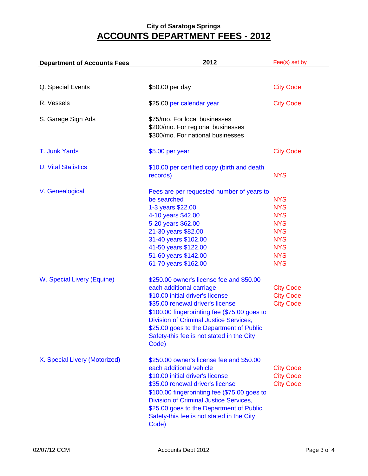| <b>Department of Accounts Fees</b>            | 2012                                                                                                                                                                                                                                                                                                                                           | Fee(s) set by                                                                                                              |  |  |
|-----------------------------------------------|------------------------------------------------------------------------------------------------------------------------------------------------------------------------------------------------------------------------------------------------------------------------------------------------------------------------------------------------|----------------------------------------------------------------------------------------------------------------------------|--|--|
|                                               |                                                                                                                                                                                                                                                                                                                                                |                                                                                                                            |  |  |
| Q. Special Events                             | \$50.00 per day                                                                                                                                                                                                                                                                                                                                | <b>City Code</b>                                                                                                           |  |  |
| R. Vessels                                    | \$25.00 per calendar year                                                                                                                                                                                                                                                                                                                      | <b>City Code</b>                                                                                                           |  |  |
| S. Garage Sign Ads                            | \$75/mo. For local businesses<br>\$200/mo. For regional businesses<br>\$300/mo. For national businesses                                                                                                                                                                                                                                        |                                                                                                                            |  |  |
| T. Junk Yards                                 | $$5.00$ per year                                                                                                                                                                                                                                                                                                                               | <b>City Code</b>                                                                                                           |  |  |
| <b>U. Vital Statistics</b>                    | \$10.00 per certified copy (birth and death<br>records)                                                                                                                                                                                                                                                                                        | <b>NYS</b>                                                                                                                 |  |  |
| V. Genealogical<br>W. Special Livery (Equine) | Fees are per requested number of years to<br>be searched<br>1-3 years \$22.00<br>4-10 years \$42.00<br>5-20 years \$62.00<br>21-30 years \$82.00<br>31-40 years \$102.00<br>41-50 years \$122.00<br>51-60 years \$142.00<br>61-70 years \$162.00<br>\$250.00 owner's license fee and \$50.00                                                   | <b>NYS</b><br><b>NYS</b><br><b>NYS</b><br><b>NYS</b><br><b>NYS</b><br><b>NYS</b><br><b>NYS</b><br><b>NYS</b><br><b>NYS</b> |  |  |
|                                               | each additional carriage<br>\$10.00 initial driver's license<br>\$35.00 renewal driver's license<br>\$100.00 fingerprinting fee (\$75.00 goes to<br>Division of Criminal Justice Services,<br>\$25.00 goes to the Department of Public<br>Safety-this fee is not stated in the City<br>Code)                                                   | <b>City Code</b><br><b>City Code</b><br><b>City Code</b>                                                                   |  |  |
| X. Special Livery (Motorized)                 | \$250.00 owner's license fee and \$50.00<br>each additional vehicle<br>\$10.00 initial driver's license<br>\$35.00 renewal driver's license<br>\$100.00 fingerprinting fee (\$75.00 goes to<br><b>Division of Criminal Justice Services,</b><br>\$25.00 goes to the Department of Public<br>Safety-this fee is not stated in the City<br>Code) | <b>City Code</b><br><b>City Code</b><br><b>City Code</b>                                                                   |  |  |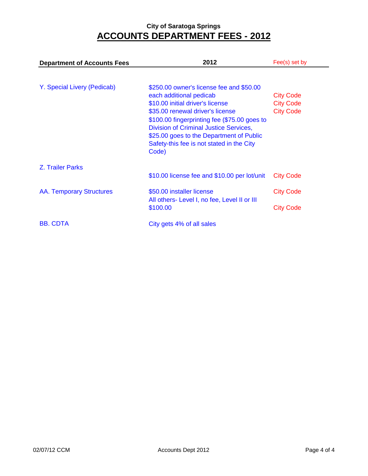| <b>Department of Accounts Fees</b> | 2012                                                                                                                                                                                                                                                                                                                                           | Fee(s) set by                                            |
|------------------------------------|------------------------------------------------------------------------------------------------------------------------------------------------------------------------------------------------------------------------------------------------------------------------------------------------------------------------------------------------|----------------------------------------------------------|
| Y. Special Livery (Pedicab)        | \$250.00 owner's license fee and \$50.00<br>each additional pedicab<br>\$10.00 initial driver's license<br>\$35.00 renewal driver's license<br>\$100.00 fingerprinting fee (\$75.00 goes to<br><b>Division of Criminal Justice Services,</b><br>\$25.00 goes to the Department of Public<br>Safety-this fee is not stated in the City<br>Code) | <b>City Code</b><br><b>City Code</b><br><b>City Code</b> |
| <b>Z. Trailer Parks</b>            | \$10.00 license fee and \$10.00 per lot/unit                                                                                                                                                                                                                                                                                                   | <b>City Code</b>                                         |
| <b>AA. Temporary Structures</b>    | \$50.00 installer license<br>All others- Level I, no fee, Level II or III<br>\$100.00                                                                                                                                                                                                                                                          | <b>City Code</b><br><b>City Code</b>                     |
| <b>BB. CDTA</b>                    | City gets 4% of all sales                                                                                                                                                                                                                                                                                                                      |                                                          |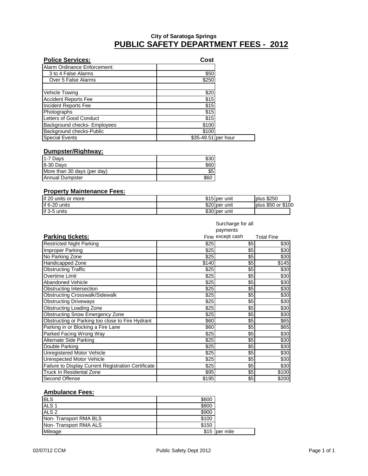#### **PUBLIC SAFETY DEPARTMENT FEES - 2012 City of Saratoga Springs**

| <b>Police Services:</b>      | Cost                |  |
|------------------------------|---------------------|--|
| Alarm Ordinance Enforcement: |                     |  |
| 3 to 4 False Alarms          | \$50                |  |
| Over 5 False Alarms          | \$250               |  |
|                              |                     |  |
| <b>Vehicle Towing</b>        | \$20                |  |
| <b>Accident Reports Fee</b>  | \$15                |  |
| Incident Reports Fee         | \$15                |  |
| Photographs                  | $\sqrt{$15}$        |  |
| Letters of Good Conduct      | \$15                |  |
| Background checks- Employees | \$100               |  |
| Background checks-Public     | \$100               |  |
| <b>Special Events</b>        | \$35-49.51 per hour |  |

#### **Dumpster/Rightway:**

| 1-7 Davs                    |      |
|-----------------------------|------|
| 8-30 Days                   |      |
| More than 30 days (per day) | \$5  |
| Annual Dumpster             | \$60 |

#### **Property Maintenance Fees:**

| lif 20 units or more | \$15 lper unit | plus \$250         |
|----------------------|----------------|--------------------|
| lif 6-20 units       | \$20 per unit  | plus \$50 or \$100 |
| if 3-5 units         | \$30 per unit  |                    |

|                                                     | Surcharge for all<br>payments |                  |                   |  |
|-----------------------------------------------------|-------------------------------|------------------|-------------------|--|
| <b>Parking tickets:</b>                             |                               | Fine except cash | <b>Total Fine</b> |  |
| <b>Restricted Night Parking</b>                     | \$25                          | \$5              | \$30              |  |
| Improper Parking                                    | \$25                          | \$5              | \$30              |  |
| No Parking Zone                                     | \$25                          | \$5              | \$30              |  |
| <b>Handicapped Zone</b>                             | \$140                         | \$5              | \$145             |  |
| <b>Obstructing Traffic</b>                          | \$25                          | \$5              | \$30              |  |
| Overtime Limit                                      | \$25                          | \$5              | \$30              |  |
| <b>Abandoned Vehicle</b>                            | \$25                          | \$5              | \$30              |  |
| Obstructing Intersection                            | \$25                          | \$5              | \$30              |  |
| <b>Obstructing Crosswalk/Sidewalk</b>               | \$25                          | \$5              | \$30              |  |
| <b>Obstructing Driveways</b>                        | \$25                          | \$5              | \$30              |  |
| Obstructing Loading Zone                            | \$25                          | \$5              | \$30              |  |
| Obstructing Snow Emergency Zone                     | \$25                          | \$5              | \$30              |  |
| Obstructing or Parking too close to Fire Hydrant    | \$60                          | \$5              | \$65              |  |
| Parking in or Blocking a Fire Lane                  | \$60                          | \$5              | \$65              |  |
| Parked Facing Wrong Way                             | \$25                          | \$5              | \$30              |  |
| Alternate Side Parking                              | \$25                          | \$5              | \$30              |  |
| Double Parking                                      | \$25                          | \$5              | \$30              |  |
| <b>Unregistered Motor Vehicle</b>                   | \$25                          | \$5              | \$30              |  |
| Uninspected Motor Vehicle                           | \$25                          | \$5              | \$30              |  |
| Failure to Display Current Registration Certificate | \$25                          | \$5              | \$30              |  |
| <b>Truck In Residental Zone</b>                     | \$95                          | \$5              | \$100             |  |
| Second Offense                                      | \$195                         | \$5              | \$200             |  |

#### **Ambulance Fees:**

| <b>IBLS</b>                  | \$600 |          |
|------------------------------|-------|----------|
| ALS <sub>1</sub>             | \$800 |          |
| ALS <sub>2</sub>             | \$900 |          |
| Non-Transport RMA BLS        | \$100 |          |
| <b>Non-Transport RMA ALS</b> | \$150 |          |
| Mileage                      | \$15  | per mile |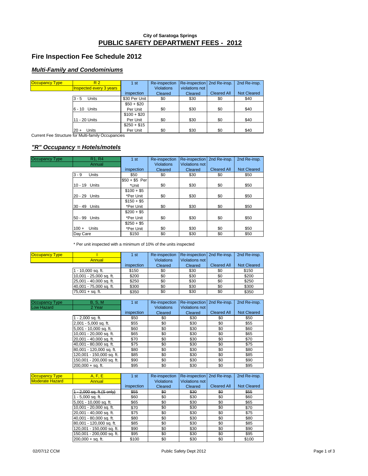#### **Fire Inspection Fee Schedule 2012**

#### **Multi-Family and Condominiums**

| <b>Occupancy Type</b> | R <sub>2</sub>                 | 1 <sub>st</sub> | Re-inspection     | Re-inspection   2nd Re-insp. |                    | 2nd Re-insp.       |
|-----------------------|--------------------------------|-----------------|-------------------|------------------------------|--------------------|--------------------|
|                       | <b>Inspected every 3 years</b> |                 | <b>Violations</b> | violations not               |                    |                    |
|                       |                                | inspection      | Cleared           | Cleared                      | <b>Cleared All</b> | <b>Not Cleared</b> |
|                       | $3 - 5$<br>Units               | \$30 Per Unit   | \$0               | \$30                         | \$0                | \$40               |
|                       |                                | $$50 + $20$     |                   |                              |                    |                    |
|                       | 6 - 10 Units                   | Per Unit        | \$0               | \$30                         | \$0                | \$40               |
|                       |                                | $$100 + $20$    |                   |                              |                    |                    |
|                       | 11 - 20 Units                  | Per Unit        | \$0               | \$30                         | \$0                | \$40               |
|                       |                                | $$250 + $15$    |                   |                              |                    |                    |
|                       | Units<br>$20 +$                | Per Unit        | \$0               | \$30                         | \$0                | \$40               |

Current Fee Structure for Multi-family Occupancies

#### **"R" Occupancy = Hotels/motels**

| <b>Occupancy Type</b> | R <sub>1</sub> , R <sub>4</sub> | 1st            | Re-inspection     | Re-inspection         | 2nd Re-insp.       | 2nd Re-insp.       |
|-----------------------|---------------------------------|----------------|-------------------|-----------------------|--------------------|--------------------|
|                       | Annual                          |                | <b>Violations</b> | <b>Violations not</b> |                    |                    |
|                       |                                 | inspection     | Cleared           | Cleared               | <b>Cleared All</b> | <b>Not Cleared</b> |
|                       | $3 - 9$<br><b>Units</b>         | \$50           | \$0               | \$30                  | \$0                | \$50               |
|                       |                                 | $$50 + $5$ Per |                   |                       |                    |                    |
|                       | 10 - 19 Units                   | *Unit          | \$0               | \$30                  | \$0                | \$50               |
|                       |                                 | $$100 + $5$    |                   |                       |                    |                    |
|                       | 20 - 29 Units                   | *Per Unit      | \$0               | \$30                  | \$0                | \$50               |
|                       |                                 | $$150 + $5$    |                   |                       |                    |                    |
|                       | 30 - 49 Units                   | *Per Unit      | \$0               | \$30                  | \$0                | \$50               |
|                       |                                 | $$200 + $5$    |                   |                       |                    |                    |
|                       | 50 - 99 Units                   | *Per Unit      | \$0               | \$30                  | \$0                | \$50               |
|                       |                                 | $$250 + $5$    |                   |                       |                    |                    |
|                       | Units<br>$100 +$                | *Per Unit      | \$0               | \$30                  | \$0                | \$50               |
|                       | Day Care                        | \$150          | \$0               | \$30                  | \$0                | \$50               |

\* Per unit inspected with a minimum of 10% of the units inspected

| <b>Occupancy Type</b> |                         | 1 <sub>st</sub> | Re-inspection     | Re-inspection 2nd Re-insp. |                    | 2nd Re-insp.       |
|-----------------------|-------------------------|-----------------|-------------------|----------------------------|--------------------|--------------------|
|                       | Annual                  |                 | <b>Violations</b> | Violations not             |                    |                    |
|                       |                         | inspection      | Cleared           | Cleared                    | <b>Cleared All</b> | <b>Not Cleared</b> |
|                       | 1 - 10,000 sq. ft.      | \$150           | \$0               | \$30                       | \$0                | \$150              |
|                       | 10,001 - 25,000 sq. ft. | \$200           | \$0               | \$30                       | \$0                | \$200              |
|                       | 25,001 - 40,000 sq. ft. | \$250           | \$0               | \$30                       | \$0                | \$250              |
|                       | 40,001 - 75,000 sq. ft. | \$300           | \$0               | \$30                       | \$0                | \$300              |
|                       | $75,001 + sq.$ ft.      | \$350           | \$0               | \$30                       | \$0                | \$350              |

| Occupancy Type    | <b>B</b> , S, M           | 1st        | Re-inspection     | Re-inspection  | 2nd Re-insp.       | 2nd Re-insp.       |
|-------------------|---------------------------|------------|-------------------|----------------|--------------------|--------------------|
| <b>Low Hazard</b> | 2 Year                    |            | <b>Violations</b> | Violations not |                    |                    |
|                   |                           | inspection | Cleared           | Cleared        | <b>Cleared All</b> | <b>Not Cleared</b> |
|                   | $1 - 2,000$ sq. ft.       | \$50       | \$0               | \$30           | \$0                | \$50               |
|                   | 2,001 - 5,000 sq. ft.     | \$55       | \$0               | \$30           | \$0                | \$55               |
|                   | 5,001 - 10,000 sq. ft.    | \$60       | \$0               | \$30           | \$0                | \$60               |
|                   | 10,001 - 20,000 sq. ft.   | \$65       | \$0               | \$30           | \$0                | \$65               |
|                   | 20,001 - 40,000 sq. ft.   | \$70       | \$0               | \$30           | \$0                | \$70               |
|                   | 40,001 - 80,000 sq. ft.   | \$75       | \$0               | \$30           | \$0                | \$75               |
|                   | 80,001 - 120,000 sq. ft.  | \$80       | \$0               | \$30           | \$0                | \$80               |
|                   | 120,001 - 150,000 sq. ft. | \$85       | \$0               | \$30           | \$0                | \$85               |
|                   | 150,001 - 200,000 sq. ft. | \$90       | \$0               | \$30           | \$0                | \$90               |
|                   | $200.000 + sa.$ ft.       | \$95       | \$0               | \$30           | \$0                | \$95               |

| <b>Occupancy Type</b>  | A, F, E                   | 1st        | Re-inspection     | Re-inspection 2nd Re-insp. |                    | 2nd Re-insp.       |
|------------------------|---------------------------|------------|-------------------|----------------------------|--------------------|--------------------|
| <b>Moderate Hazard</b> | Annual                    |            | <b>Violations</b> | Violations not             |                    |                    |
|                        |                           | inspection | Cleared           | Cleared                    | <b>Cleared All</b> | <b>Not Cleared</b> |
|                        | 2,000 sq. ft.(S only)     | \$55       | \$0               | \$30                       | \$0                | \$55               |
|                        | $-5,000$ sq. ft.          | \$60       | \$0               | \$30                       | \$0                | \$60               |
|                        | 5,001 - 10,000 sq. ft.    | \$65       | \$0               | \$30                       | \$0                | \$65               |
|                        | 10,001 - 20,000 sq. ft.   | \$70       | \$0               | \$30                       | \$0                | \$70               |
|                        | 20,001 - 40,000 sq. ft.   | \$75       | \$0               | \$30                       | \$0                | \$75               |
|                        | 40,001 - 80,000 sq. ft.   | \$80       | \$0               | \$30                       | \$0                | \$80               |
|                        | 80,001 - 120,000 sq. ft.  | \$85       | \$0               | \$30                       | \$0                | \$85               |
|                        | 120,001 - 150,000 sq. ft. | \$90       | \$0               | \$30                       | \$0                | \$90               |
|                        | 150,001 - 200,000 sq. ft. | \$95       | \$0               | \$30                       | \$0                | \$95               |
|                        | $200.000 + sa.$ ft.       | \$100      | \$0               | \$30                       | \$0                | \$100              |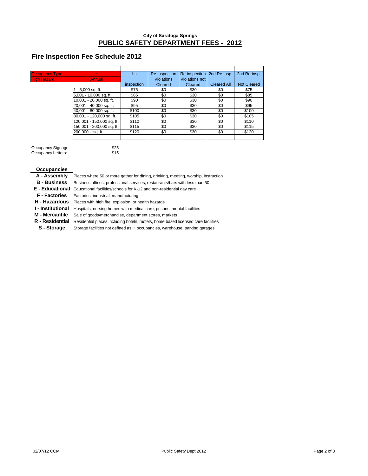#### **Fire Inspection Fee Schedule 2012**

| <b>Occupancy Type</b> | н                         | 1st        | Re-inspection     | Re-inspection  | 2nd Re-insp.       | 2nd Re-insp.       |
|-----------------------|---------------------------|------------|-------------------|----------------|--------------------|--------------------|
| <b>High Hazard</b>    | Annual                    |            | <b>Violations</b> | Violations not |                    |                    |
|                       |                           | inspection | Cleared           | Cleared        | <b>Cleared All</b> | <b>Not Cleared</b> |
|                       | - 5,000 sq. ft.           | \$75       | \$0               | \$30           | \$0                | \$75               |
|                       | 5,001 - 10,000 sq. ft.    | \$85       | \$0               | \$30           | \$0                | \$85               |
|                       | 10,001 - 20,000 sq. ft.   | \$90       | \$0               | \$30           | \$0                | \$90               |
|                       | 20,001 - 40,000 sq. ft.   | \$95       | \$0               | \$30           | \$0                | \$95               |
|                       | 40,001 - 80,000 sq. ft.   | \$100      | \$0               | \$30           | \$0                | \$100              |
|                       | 80,001 - 120,000 sq. ft.  | \$105      | \$0               | \$30           | \$0                | \$105              |
|                       | 120,001 - 150,000 sq. ft. | \$110      | \$0               | \$30           | \$0                | \$110              |
|                       | 150,001 - 200,000 sq. ft. | \$115      | \$0               | \$30           | \$0                | \$115              |
|                       | $200,000 + sq.$ ft.       | \$120      | \$0               | \$30           | \$0                | \$120              |
|                       |                           |            |                   |                |                    |                    |

Occupancy Signage: \$25<br>Occupancy Letters: \$15

Occupancy Letters:

**Occupancies**

**A - Assembly** Places where 50 or more gather for dining, drinking, meeting, worship, instruction

**B - Business** Business offices, professional services, restaurants/bars with less than 50

**E - Educational** Educational facilities/schools for K-12 and non-residential day care

**F - Factories** Factories, industrial, manufacturing

**H - Hazardous** Places with high fire, explosion, or health hazards

**I - Institutional** Hospitals, nursing homes with medical care, prisons, mental facilities

**M - Mercantile** Sale of goods/merchandise, department stores, markets

R - Residential Residential places including hotels, motels, home based licensed care facilities

**S - Storage** Storage facilities not defined as H occupancies, warehouse, parking garages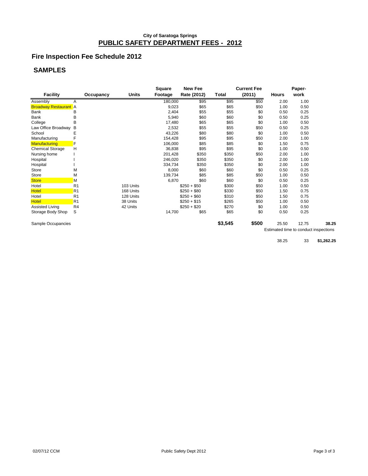#### **Fire Inspection Fee Schedule 2012**

## **SAMPLES**

|                              |                |              | Square  | <b>New Fee</b> |         | <b>Current Fee</b> |              | Paper- |       |
|------------------------------|----------------|--------------|---------|----------------|---------|--------------------|--------------|--------|-------|
| <b>Facility</b>              | Occupancy      | <b>Units</b> | Footage | Rate (2012)    | Total   | (2011)             | <b>Hours</b> | work   |       |
| Assembly                     | A              |              | 180,000 | \$95           | \$95    | \$50               | 2.00         | 1.00   |       |
| <b>Broadway Restaurant</b> A |                |              | 9,023   | \$65           | \$65    | \$50               | 1.00         | 0.50   |       |
| Bank                         | В              |              | 2,404   | \$55           | \$55    | \$0                | 0.50         | 0.25   |       |
| Bank                         | В              |              | 5,940   | \$60           | \$60    | \$0                | 0.50         | 0.25   |       |
| College                      | B              |              | 17,480  | \$65           | \$65    | \$0                | 1.00         | 0.50   |       |
| Law Office Broadway          | B              |              | 2,532   | \$55           | \$55    | \$50               | 0.50         | 0.25   |       |
| School                       | Ε              |              | 43,226  | \$80           | \$80    | \$0                | 1.00         | 0.50   |       |
| Manufacturing                | F              |              | 154,428 | \$95           | \$95    | \$50               | 2.00         | 1.00   |       |
| <b>Manufacturing</b>         | F              |              | 106,000 | \$85           | \$85    | \$0                | 1.50         | 0.75   |       |
| <b>Chemical Storage</b>      | н              |              | 36,838  | \$95           | \$95    | \$0                | 1.00         | 0.50   |       |
| Nursing home                 |                |              | 201.428 | \$350          | \$350   | \$50               | 2.00         | 1.00   |       |
| Hospital                     |                |              | 246,020 | \$350          | \$350   | \$0                | 2.00         | 1.00   |       |
| Hospital                     |                |              | 334,734 | \$350          | \$350   | \$0                | 2.00         | 1.00   |       |
| Store                        | M              |              | 8,000   | \$60           | \$60    | \$0                | 0.50         | 0.25   |       |
| Store                        | M              |              | 139,734 | \$85           | \$85    | \$50               | 1.00         | 0.50   |       |
| <b>Store</b>                 | М              |              | 6,870   | \$60           | \$60    | \$0                | 0.50         | 0.25   |       |
| Hotel                        | R <sub>1</sub> | 103 Units    |         | $$250 + $50$   | \$300   | \$50               | 1.00         | 0.50   |       |
| <b>Hotel</b>                 | R <sub>1</sub> | 168 Units    |         | $$250 + $80$   | \$330   | \$50               | 1.50         | 0.75   |       |
| Hotel                        | R <sub>1</sub> | 128 Units    |         | $$250 + $60$   | \$310   | \$50               | 1.50         | 0.75   |       |
| <b>Hotel</b>                 | R <sub>1</sub> | 38 Units     |         | $$250 + $15$   | \$265   | \$50               | 1.00         | 0.50   |       |
| Assisted Living              | R <sub>4</sub> | 42 Units     |         | $$250 + $20$   | \$270   | \$0                | 1.00         | 0.50   |       |
| Storage Body Shop            | S              |              | 14,700  | \$65           | \$65    | \$0                | 0.50         | 0.25   |       |
| Sample Occupancies           |                |              |         |                | \$3,545 | \$500              | 25.50        | 12.75  | 38.25 |

Estimated time to conduct inspections

38.25 33 **\$1,262.25**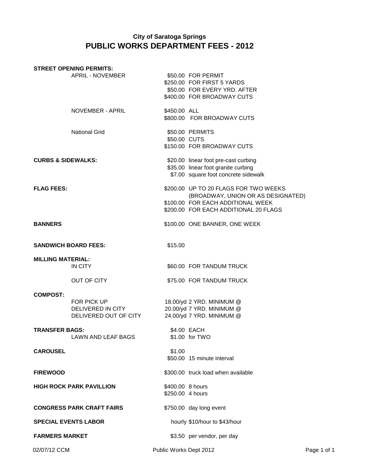|                               | <b>STREET OPENING PERMITS:</b>                            |                                      |                                                                                                                                                           |             |
|-------------------------------|-----------------------------------------------------------|--------------------------------------|-----------------------------------------------------------------------------------------------------------------------------------------------------------|-------------|
|                               | APRIL - NOVEMBER                                          |                                      | \$50.00 FOR PERMIT<br>\$250.00 FOR FIRST 5 YARDS<br>\$50.00 FOR EVERY YRD. AFTER<br>\$400.00 FOR BROADWAY CUTS                                            |             |
|                               | NOVEMBER - APRIL                                          | \$450.00 ALL                         | \$800.00 FOR BROADWAY CUTS                                                                                                                                |             |
|                               | <b>National Grid</b>                                      | \$50.00 CUTS                         | \$50.00 PERMITS<br>\$150.00 FOR BROADWAY CUTS                                                                                                             |             |
| <b>CURBS &amp; SIDEWALKS:</b> |                                                           |                                      | \$20.00 linear foot pre-cast curbing<br>\$35.00 linear foot granite curbing<br>\$7.00 square foot concrete sidewalk                                       |             |
| <b>FLAG FEES:</b>             |                                                           |                                      | \$200.00 UP TO 20 FLAGS FOR TWO WEEKS<br>(BROADWAY, UNION OR AS DESIGNATED)<br>\$100.00 FOR EACH ADDITIONAL WEEK<br>\$200.00 FOR EACH ADDITIONAL 20 FLAGS |             |
| <b>BANNERS</b>                |                                                           |                                      | \$100.00 ONE BANNER, ONE WEEK                                                                                                                             |             |
|                               | <b>SANDWICH BOARD FEES:</b>                               | \$15.00                              |                                                                                                                                                           |             |
| <b>MILLING MATERIAL:</b>      | IN CITY                                                   |                                      | \$60.00 FOR TANDUM TRUCK                                                                                                                                  |             |
|                               | OUT OF CITY                                               |                                      | \$75.00 FOR TANDUM TRUCK                                                                                                                                  |             |
| <b>COMPOST:</b>               | FOR PICK UP<br>DELIVERED IN CITY<br>DELIVERED OUT OF CITY |                                      | 18.00/yd 2 YRD. MINIMUM @<br>20.00/yd 7 YRD. MINIMUM @<br>24.00/yd 7 YRD. MINIMUM @                                                                       |             |
| <b>TRANSFER BAGS:</b>         | LAWN AND LEAF BAGS                                        |                                      | \$4.00 EACH<br>\$1.00 for TWO                                                                                                                             |             |
| <b>CAROUSEL</b>               |                                                           | \$1.00                               | \$50.00 15 minute interval                                                                                                                                |             |
| <b>FIREWOOD</b>               |                                                           |                                      | \$300.00 truck load when available                                                                                                                        |             |
|                               | <b>HIGH ROCK PARK PAVILLION</b>                           | \$400.00 8 hours<br>\$250.00 4 hours |                                                                                                                                                           |             |
|                               | <b>CONGRESS PARK CRAFT FAIRS</b>                          |                                      | \$750.00 day long event                                                                                                                                   |             |
| <b>SPECIAL EVENTS LABOR</b>   |                                                           |                                      | hourly \$10/hour to \$43/hour                                                                                                                             |             |
| <b>FARMERS MARKET</b>         |                                                           |                                      | \$3.50 per vendor, per day                                                                                                                                |             |
| 02/07/12 CCM                  |                                                           | Public Works Dept 2012               |                                                                                                                                                           | Page 1 of 1 |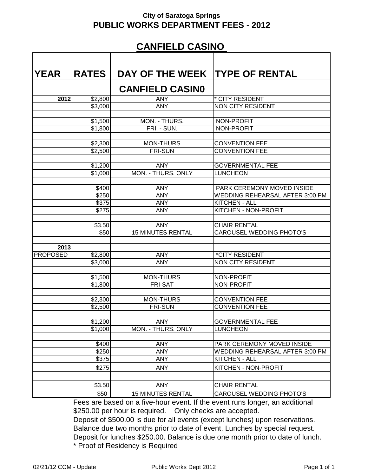## **CANFIELD CASINO**

| <b>IYEAR</b>    | <b>RATES</b>   | DAY OF THE WEEK TYPE OF RENTAL |                                 |
|-----------------|----------------|--------------------------------|---------------------------------|
|                 |                | <b>CANFIELD CASINO</b>         |                                 |
| 2012            | \$2,800        | <b>ANY</b>                     | * CITY RESIDENT                 |
|                 | \$3,000        | <b>ANY</b>                     | NON CITY RESIDENT               |
|                 |                |                                |                                 |
|                 | \$1,500        | MON. - THURS.                  | NON-PROFIT                      |
|                 | \$1,800        | FRI. - SUN.                    | NON-PROFIT                      |
|                 |                |                                |                                 |
|                 | \$2,300        | MON-THURS                      | <b>CONVENTION FEE</b>           |
|                 | \$2,500        | <b>FRI-SUN</b>                 | <b>CONVENTION FEE</b>           |
|                 |                |                                |                                 |
|                 | \$1,200        | <b>ANY</b>                     | <b>GOVERNMENTAL FEE</b>         |
|                 | \$1,000        | MON. - THURS. ONLY             | <b>LUNCHEON</b>                 |
|                 |                | <b>ANY</b>                     | PARK CEREMONY MOVED INSIDE      |
|                 | \$400<br>\$250 | <b>ANY</b>                     | WEDDING REHEARSAL AFTER 3:00 PM |
|                 | \$375          | <b>ANY</b>                     | <b>KITCHEN - ALL</b>            |
|                 | \$275          | <b>ANY</b>                     | <b>KITCHEN - NON-PROFIT</b>     |
|                 |                |                                |                                 |
|                 | \$3.50         | <b>ANY</b>                     | <b>CHAIR RENTAL</b>             |
|                 | \$50           | <b>15 MINUTES RENTAL</b>       | <b>CAROUSEL WEDDING PHOTO'S</b> |
|                 |                |                                |                                 |
| 2013            |                |                                |                                 |
| <b>PROPOSED</b> | \$2,800        | <b>ANY</b>                     | <i><b>*CITY RESIDENT</b></i>    |
|                 | \$3,000        | <b>ANY</b>                     | <b>NON CITY RESIDENT</b>        |
|                 |                |                                |                                 |
|                 | \$1,500        | <b>MON-THURS</b>               | <b>NON-PROFIT</b>               |
|                 | \$1,800        | <b>FRI-SAT</b>                 | <b>NON-PROFIT</b>               |
|                 |                |                                |                                 |
|                 | \$2,300        | <b>MON-THURS</b>               | <b>CONVENTION FEE</b>           |
|                 | \$2,500        | <b>FRI-SUN</b>                 | <b>CONVENTION FEE</b>           |
|                 |                |                                |                                 |
|                 | \$1,200        | <b>ANY</b>                     | <b>GOVERNMENTAL FEE</b>         |
|                 | \$1,000        | MON. - THURS. ONLY             | <b>LUNCHEON</b>                 |
|                 | \$400          | <b>ANY</b>                     | PARK CEREMONY MOVED INSIDE      |
|                 | \$250          | <b>ANY</b>                     | WEDDING REHEARSAL AFTER 3:00 PM |
|                 | \$375          | ANY                            | KITCHEN - ALL                   |
|                 |                |                                | KITCHEN - NON-PROFIT            |
|                 | \$275          | <b>ANY</b>                     |                                 |
|                 |                |                                |                                 |
|                 | \$3.50         | <b>ANY</b>                     | <b>CHAIR RENTAL</b>             |
|                 | \$50           | <b>15 MINUTES RENTAL</b>       | CAROUSEL WEDDING PHOTO'S        |

Fees are based on a five-hour event. If the event runs longer, an additional \$250.00 per hour is required. Only checks are accepted.

Deposit of \$500.00 is due for all events (except lunches) upon reservations. Balance due two months prior to date of event. Lunches by special request. Deposit for lunches \$250.00. Balance is due one month prior to date of lunch. \* Proof of Residency is Required

02/21/12 CCM - Update **Public Works Dept 2012** Page 1 of 1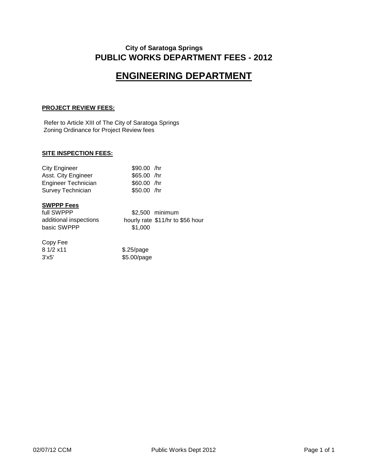## **ENGINEERING DEPARTMENT**

#### **PROJECT REVIEW FEES:**

Refer to Article XIII of The City of Saratoga Springs Zoning Ordinance for Project Review fees

#### **SITE INSPECTION FEES:**

| <b>City Engineer</b>       | \$90.00 /hr  |  |
|----------------------------|--------------|--|
| Asst. City Engineer        | \$65.00 /hr  |  |
| <b>Engineer Technician</b> | $$60.00$ /hr |  |
| Survey Technician          | \$50.00 /hr  |  |

#### **SWPPP Fees**

| full SWPPP             | \$2,500 minimum                  |
|------------------------|----------------------------------|
| additional inspections | hourly rate \$11/hr to \$56 hour |
| basic SWPPP            | \$1,000                          |

#### Copy Fee

| 8 1/2 x 11 | $$.25$ /page |
|------------|--------------|
| 3'x5'      | \$5.00/page  |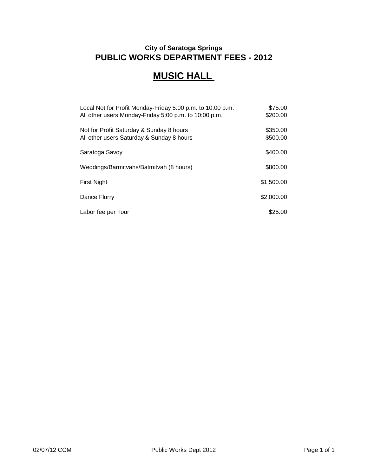## **MUSIC HALL**

| Local Not for Profit Monday-Friday 5:00 p.m. to 10:00 p.m. | \$75.00    |
|------------------------------------------------------------|------------|
| All other users Monday-Friday 5:00 p.m. to 10:00 p.m.      | \$200.00   |
| Not for Profit Saturday & Sunday 8 hours                   | \$350.00   |
| All other users Saturday & Sunday 8 hours                  | \$500.00   |
| Saratoga Savoy                                             | \$400.00   |
| Weddings/Barmitvahs/Batmitvah (8 hours)                    | \$800.00   |
| <b>First Night</b>                                         | \$1,500.00 |
| Dance Flurry                                               | \$2,000.00 |
| Labor fee per hour                                         | \$25.00    |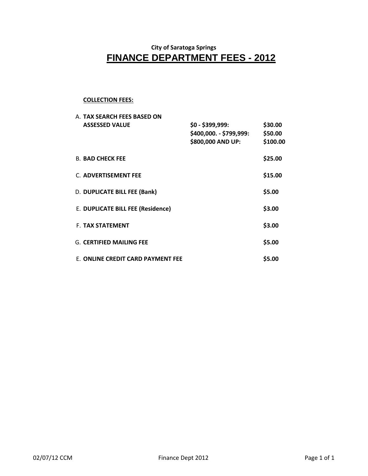## **FINANCE DEPARTMENT FEES - 2012 City of Saratoga Springs**

#### **COLLECTION FEES:**

| A. TAX SEARCH FEES BASED ON       |                                                                   |                                |
|-----------------------------------|-------------------------------------------------------------------|--------------------------------|
| <b>ASSESSED VALUE</b>             | $$0 - $399,999$ :<br>\$400,000. - \$799,999:<br>\$800,000 AND UP: | \$30.00<br>\$50.00<br>\$100.00 |
| <b>B. BAD CHECK FEE</b>           |                                                                   | \$25.00                        |
| <b>C. ADVERTISEMENT FEE</b>       |                                                                   | \$15.00                        |
| D. DUPLICATE BILL FEE (Bank)      |                                                                   | \$5.00                         |
| E. DUPLICATE BILL FEE (Residence) |                                                                   | \$3.00                         |
| <b>F. TAX STATEMENT</b>           |                                                                   | \$3.00                         |
| <b>G. CERTIFIED MAILING FEE</b>   |                                                                   | \$5.00                         |
| E. ONLINE CREDIT CARD PAYMENT FEE |                                                                   | \$5.00                         |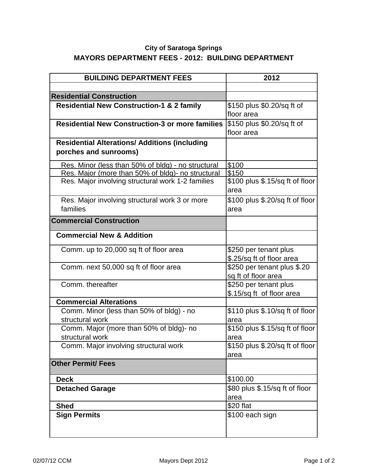## **City of Saratoga Springs MAYORS DEPARTMENT FEES - 2012: BUILDING DEPARTMENT**

| <b>BUILDING DEPARTMENT FEES</b>                                               | 2012                                               |
|-------------------------------------------------------------------------------|----------------------------------------------------|
|                                                                               |                                                    |
| <b>Residential Construction</b>                                               |                                                    |
| <b>Residential New Construction-1 &amp; 2 family</b>                          | \$150 plus \$0.20/sq ft of<br>floor area           |
| <b>Residential New Construction-3 or more families</b>                        | \$150 plus \$0.20/sq ft of<br>floor area           |
| <b>Residential Alterations/ Additions (including</b><br>porches and sunrooms) |                                                    |
| Res. Minor (less than 50% of bldg) - no structural                            | \$100                                              |
| Res. Major (more than 50% of bldg)- no structural                             | \$150                                              |
| Res. Major involving structural work 1-2 families                             | \$100 plus \$.15/sq ft of floor<br>area            |
| Res. Major involving structural work 3 or more                                | \$100 plus \$.20/sq ft of floor                    |
| families                                                                      | area                                               |
| <b>Commercial Construction</b>                                                |                                                    |
| <b>Commercial New &amp; Addition</b>                                          |                                                    |
| Comm. up to 20,000 sq ft of floor area                                        | \$250 per tenant plus<br>\$.25/sq ft of floor area |
| Comm. next 50,000 sq ft of floor area                                         | \$250 per tenant plus \$.20<br>sq ft of floor area |
| Comm. thereafter                                                              | \$250 per tenant plus<br>\$.15/sq ft of floor area |
| <b>Commercial Alterations</b>                                                 |                                                    |
| Comm. Minor (less than 50% of bldg) - no<br>structural work                   | \$110 plus \$.10/sq ft of floor<br>area            |
| Comm. Major (more than 50% of bldg)- no                                       | \$150 plus \$.15/sq ft of floor                    |
| structural work                                                               | area                                               |
| Comm. Major involving structural work                                         | \$150 plus \$.20/sq ft of floor<br>area            |
| <b>Other Permit/ Fees</b>                                                     |                                                    |
| <b>Deck</b>                                                                   | \$100.00                                           |
| <b>Detached Garage</b>                                                        | \$80 plus \$.15/sq ft of floor                     |
|                                                                               | area                                               |
| <b>Shed</b>                                                                   | \$20 flat                                          |
| <b>Sign Permits</b>                                                           | \$100 each sign                                    |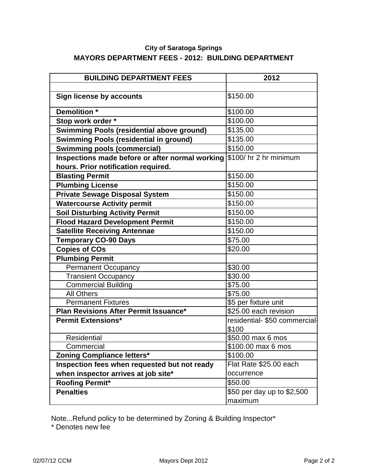## **City of Saratoga Springs MAYORS DEPARTMENT FEES - 2012: BUILDING DEPARTMENT**

| <b>BUILDING DEPARTMENT FEES</b>                                        | 2012                          |
|------------------------------------------------------------------------|-------------------------------|
|                                                                        |                               |
| <b>Sign license by accounts</b>                                        | \$150.00                      |
| Demolition *                                                           | \$100.00                      |
|                                                                        | \$100.00                      |
| Stop work order *                                                      | \$135.00                      |
| <b>Swimming Pools (residential above ground)</b>                       |                               |
| <b>Swimming Pools (residential in ground)</b>                          | \$135.00                      |
| <b>Swimming pools (commercial)</b>                                     | \$150.00                      |
| Inspections made before or after normal working \$100/ hr 2 hr minimum |                               |
| hours. Prior notification required.                                    |                               |
| <b>Blasting Permit</b>                                                 | \$150.00                      |
| <b>Plumbing License</b>                                                | \$150.00                      |
| <b>Private Sewage Disposal System</b>                                  | \$150.00                      |
| <b>Watercourse Activity permit</b>                                     | \$150.00                      |
| <b>Soil Disturbing Activity Permit</b>                                 | \$150.00                      |
| <b>Flood Hazard Development Permit</b>                                 | \$150.00                      |
| <b>Satellite Receiving Antennae</b>                                    | \$150.00                      |
| <b>Temporary CO-90 Days</b>                                            | \$75.00                       |
| <b>Copies of COs</b>                                                   | \$20.00                       |
| <b>Plumbing Permit</b>                                                 |                               |
| <b>Permanent Occupancy</b>                                             | \$30.00                       |
| <b>Transient Occupancy</b>                                             | \$30.00                       |
| <b>Commercial Building</b>                                             | \$75.00                       |
| <b>All Others</b>                                                      | \$75.00                       |
| <b>Permanent Fixtures</b>                                              | \$5 per fixture unit          |
| Plan Revisions After Permit Issuance*                                  | \$25.00 each revision         |
| <b>Permit Extensions*</b>                                              | residential- \$50 commercial- |
|                                                                        | \$100                         |
| <b>Residential</b>                                                     | \$50.00 max 6 mos             |
| Commercial                                                             | \$100.00 max 6 mos            |
| <b>Zoning Compliance letters*</b>                                      | \$100.00                      |
| Inspection fees when requested but not ready                           | Flat Rate \$25.00 each        |
| when inspector arrives at job site*                                    | occurrence                    |
| <b>Roofing Permit*</b>                                                 | \$50.00                       |
| <b>Penalties</b>                                                       | \$50 per day up to \$2,500    |
|                                                                        | maximum                       |

\* Denotes new fee Note...Refund policy to be determined by Zoning & Building Inspector\*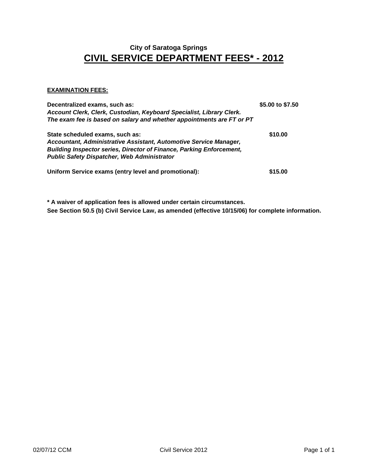## **CIVIL SERVICE DEPARTMENT FEES\* - 2012 City of Saratoga Springs**

#### **EXAMINATION FEES:**

| Decentralized exams, such as:<br>Account Clerk, Clerk, Custodian, Keyboard Specialist, Library Clerk.<br>The exam fee is based on salary and whether appointments are FT or PT                                                            | \$5.00 to \$7.50 |
|-------------------------------------------------------------------------------------------------------------------------------------------------------------------------------------------------------------------------------------------|------------------|
| State scheduled exams, such as:<br>Accountant, Administrative Assistant, Automotive Service Manager,<br><b>Building Inspector series, Director of Finance, Parking Enforcement,</b><br><b>Public Safety Dispatcher, Web Administrator</b> | \$10.00          |
| Uniform Service exams (entry level and promotional):                                                                                                                                                                                      | \$15.00          |

**\* A waiver of application fees is allowed under certain circumstances. See Section 50.5 (b) Civil Service Law, as amended (effective 10/15/06) for complete information.**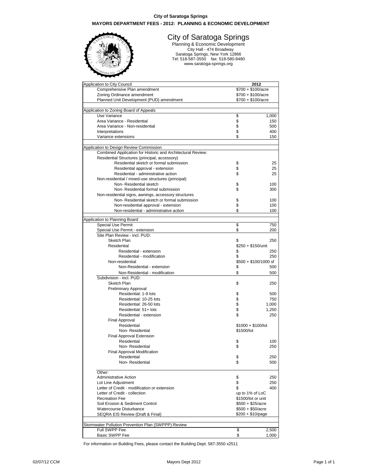#### **City of Saratoga Springs MAYORS DEPARTMENT FEES - 2012: PLANNING & ECONOMIC DEVELOPMENT**



#### City of Saratoga Springs

Planning & Economic Development City Hall - 474 Broadway Saratoga Springs, New York 12866 Tel: 518-587-3550 fax: 518-580-9480 www.saratoga-springs.org

| Application to City Council                                 |                            | 2012                  |
|-------------------------------------------------------------|----------------------------|-----------------------|
| Comprehensive Plan amendment                                | \$700 + \$100/acre         |                       |
| Zoning Ordinance amendment                                  | $$700 + $100/ \text{acre}$ |                       |
| Planned Unit Development (PUD) amendment                    | \$700 + \$100/acre         |                       |
|                                                             |                            |                       |
| Application to Zoning Board of Appeals                      |                            |                       |
| Use Variance                                                | \$                         | 1,000                 |
| Area Variance - Residential                                 | \$                         | 150                   |
| Area Variance - Non-residential                             | \$                         | 500                   |
| Interpretations                                             | \$                         | 400                   |
| Variance extensions                                         | \$                         | 150                   |
|                                                             |                            |                       |
| Application to Design Review Commission                     |                            |                       |
| Combined Application for Historic and Architectural Review: |                            |                       |
| Residential Structures (principal, accessory)               |                            |                       |
| Residential sketch or formal submission                     | \$                         | 25                    |
| Residential approval - extension                            | \$                         | 25                    |
| Residential - administrative action                         | \$                         | 25                    |
| Non-residential / mixed-use structures (principal)          |                            |                       |
| Non-Residential sketch                                      | \$                         | 100                   |
| Non-Residential formal submission                           | \$                         | 300                   |
| Non-residential signs, awnings, accessory structures        |                            |                       |
| Non-Residential sketch or formal submission                 | \$                         | 100                   |
| Non-residential approval - extension                        | \$                         | 100                   |
|                                                             |                            |                       |
| Non-residential - administrative action                     | \$                         | 100                   |
| Application to Planning Board                               |                            |                       |
| <b>Special Use Permit</b>                                   | \$                         | 750                   |
| Special Use Permit - extension                              | \$                         | 200                   |
| Site Plan Review - incl. PUD:                               |                            |                       |
| Sketch Plan                                                 | \$                         | 250                   |
| Residential                                                 | \$250 + \$150/unit         |                       |
| Residential - extension                                     | \$                         | 250                   |
| Residential - modification                                  | \$                         | 250                   |
| Non-residential                                             |                            | \$500 + \$100/1000 sf |
| Non-Residential - extension                                 | \$                         | 500                   |
|                                                             | \$                         |                       |
| Non-Residential - modification<br>Subdivision - incl. PUD:  |                            | 500                   |
|                                                             |                            |                       |
| Sketch Plan                                                 | \$                         | 250                   |
| Preliminary Approval                                        |                            |                       |
| Residential: 1-9 lots                                       | \$                         | 500                   |
| Residential: 10-25 lots                                     | \$                         | 750                   |
| Residential: 26-50 lots                                     | \$<br>\$                   | 1,000                 |
| Residential: 51+ lots                                       |                            | 1,250                 |
| Residential - extension                                     | \$                         | 250                   |
| Final Approval                                              |                            |                       |
| Residential                                                 | $$1000 + $100/$ lot        |                       |
| Non-Residential                                             | \$1500/lot                 |                       |
| <b>Final Approval Extension</b>                             |                            |                       |
| Residential                                                 | \$                         | 100                   |
| Non-Residential                                             | \$                         | 250                   |
| Final Approval Modification                                 |                            |                       |
| Residential                                                 | \$                         | 250                   |
| Non-Residential                                             | \$                         | 500                   |
|                                                             |                            |                       |
| Other:                                                      |                            |                       |
| <b>Administrative Action</b>                                | \$                         | 250                   |
| Lot Line Adjustment                                         | \$                         | 250                   |
| Letter of Credit - modification or extension                | \$                         | 400                   |
| Letter of Credit - collection                               | up to 1% of LoC            |                       |
| <b>Recreation Fee</b>                                       | \$1500/lot or unit         |                       |
| Soil Erosion & Sediment Control                             | $$500 + $25/ \text{acre}$  |                       |
| Watercourse Disturbance<br>$$500 + $50/ \text{acre}$        |                            |                       |
| SEQRA EIS Review (Draft & Final)                            | $$200 + $10$ /page         |                       |
|                                                             |                            |                       |
| Stormwater Pollution Prevention Plan (SWPPP) Review         |                            |                       |
| Full SWPP Fee                                               | \$                         | 2,500                 |
| <b>Basic SWPP Fee</b>                                       | \$                         | 1,000                 |

For information on Building Fees, please contact the Building Dept. 587-3550 x2511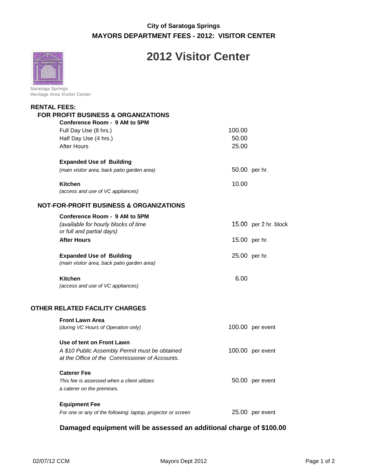## **City of Saratoga Springs MAYORS DEPARTMENT FEES - 2012: VISITOR CENTER**



## **2012 Visitor Center**

| Saratoga Springs                    |  |  |
|-------------------------------------|--|--|
| <b>Heritage Area Visitor Center</b> |  |  |

| <b>RENTAL FEES:</b> | FOR PROFIT BUSINESS & ORGANIZATIONS<br>Conference Room - 9 AM to 5PM |        |                       |
|---------------------|----------------------------------------------------------------------|--------|-----------------------|
|                     | Full Day Use (8 hrs.)                                                | 100.00 |                       |
|                     | Half Day Use (4 hrs.)                                                | 50.00  |                       |
|                     | <b>After Hours</b>                                                   | 25.00  |                       |
|                     |                                                                      |        |                       |
|                     | <b>Expanded Use of Building</b>                                      |        |                       |
|                     | (main visitor area, back patio garden area)                          |        | 50.00 per hr.         |
|                     |                                                                      |        |                       |
|                     | <b>Kitchen</b>                                                       | 10.00  |                       |
|                     | (access and use of VC appliances)                                    |        |                       |
|                     | <b>NOT-FOR-PROFIT BUSINESS &amp; ORGANIZATIONS</b>                   |        |                       |
|                     | Conference Room - 9 AM to 5PM                                        |        |                       |
|                     | (available for hourly blocks of time                                 |        | 15.00 per 2 hr. block |
|                     | or full and partial days)                                            |        |                       |
|                     | <b>After Hours</b>                                                   |        | 15.00 per hr.         |
|                     |                                                                      |        |                       |
|                     | <b>Expanded Use of Building</b>                                      |        | 25.00 per hr.         |
|                     | (main visitor area, back patio garden area)                          |        |                       |
|                     | <b>Kitchen</b>                                                       | 6.00   |                       |
|                     | (access and use of VC appliances)                                    |        |                       |
|                     |                                                                      |        |                       |
|                     | OTHER RELATED FACILITY CHARGES                                       |        |                       |
|                     | <b>Front Lawn Area</b>                                               |        |                       |
|                     | (during VC Hours of Operation only)                                  |        | 100.00 per event      |
|                     |                                                                      |        |                       |
|                     | Use of tent on Front Lawn                                            |        |                       |
|                     | A \$10 Public Assembly Permit must be obtained                       |        | 100.00 per event      |
|                     | at the Office of the Commissioner of Accounts.                       |        |                       |
|                     |                                                                      |        |                       |
|                     | <b>Caterer Fee</b>                                                   |        |                       |
|                     | This fee is assessed when a client utilizes                          |        | 50.00 per event       |
|                     | a caterer on the premises.                                           |        |                       |
|                     | <b>Equipment Fee</b>                                                 |        |                       |
|                     | For one or any of the following: laptop, projector or screen         |        | 25.00 per event       |
|                     |                                                                      |        |                       |

## **Damaged equipment will be assessed an additional charge of \$100.00**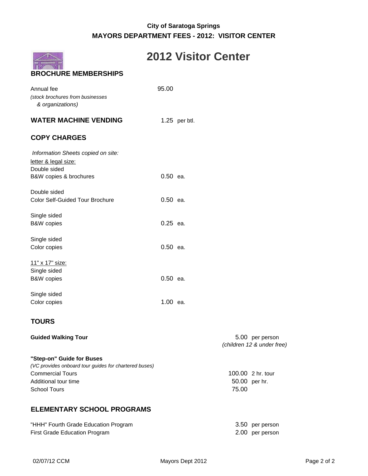## **City of Saratoga Springs MAYORS DEPARTMENT FEES - 2012: VISITOR CENTER**



## **2012 Visitor Center**

| Annual fee<br>(stock brochures from businesses<br>& organizations)         | 95.00      |               |
|----------------------------------------------------------------------------|------------|---------------|
| <b>WATER MACHINE VENDING</b>                                               |            | 1.25 per btl. |
| <b>COPY CHARGES</b>                                                        |            |               |
| Information Sheets copied on site:<br>letter & legal size:<br>Double sided |            |               |
| B&W copies & brochures                                                     | $0.50$ ea. |               |
| Double sided<br><b>Color Self-Guided Tour Brochure</b>                     | $0.50$ ea. |               |
| Single sided<br><b>B&amp;W</b> copies                                      | $0.25$ ea. |               |
| Single sided<br>Color copies                                               | $0.50$ ea. |               |
| <u>11" x 17" size:</u><br>Single sided<br><b>B&amp;W</b> copies            | $0.50$ ea. |               |
| Single sided<br>Color copies                                               | 1.00 ea.   |               |

### **TOURS**

**Guided Walking Tour 6.00 Guided Walking Tour** (children 12 & under free) **"Step-on" Guide for Buses** (VC provides onboard tour guides for chartered buses) Commercial Tours **100.00 2 hr.** tour Additional tour time 50.00 per hr. School Tours 75.00

## **ELEMENTARY SCHOOL PROGRAMS**

| "HHH" Fourth Grade Education Program | 3.50 per person |
|--------------------------------------|-----------------|
| First Grade Education Program        | 2.00 per person |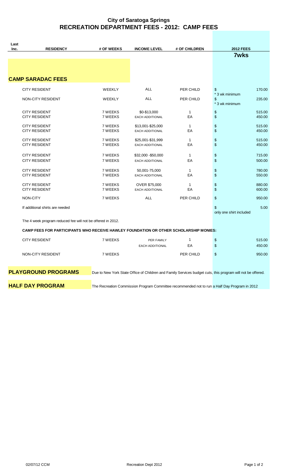## **City of Saratoga Springs RECREATION DEPARTMENT FEES - 2012: CAMP FEES**

| Last |                                                                                       |                    |                                               |                    |                                                                                                             |
|------|---------------------------------------------------------------------------------------|--------------------|-----------------------------------------------|--------------------|-------------------------------------------------------------------------------------------------------------|
| Inc. | <b>RESIDENCY</b>                                                                      | # OF WEEKS         | <b>INCOME LEVEL</b>                           | # OF CHILDREN      | <b>2012 FEES</b>                                                                                            |
|      | <b>CAMP SARADAC FEES</b>                                                              |                    |                                               |                    | <b>7wks</b>                                                                                                 |
|      | <b>CITY RESIDENT</b>                                                                  | WEEKLY             | ALL                                           | PER CHILD          | 170.00<br>\$                                                                                                |
|      | NON-CITY RESIDENT                                                                     | <b>WEEKLY</b>      | <b>ALL</b>                                    | PER CHILD          | * 3 wk minimum<br>\$<br>235.00<br>* 3 wk minimum                                                            |
|      | <b>CITY RESIDENT</b><br><b>CITY RESIDENT</b>                                          | 7 WEEKS<br>7 WEEKS | \$0-\$13,000<br>EACH ADDITIONAL               | $\mathbf{1}$<br>EA | \$<br>515.00<br>\$<br>450.00                                                                                |
|      | <b>CITY RESIDENT</b><br><b>CITY RESIDENT</b>                                          | 7 WEEKS<br>7 WEEKS | \$13,001-\$25,000<br><b>EACH ADDITIONAL</b>   | $\mathbf{1}$<br>EA | \$<br>515.00<br>\$<br>450.00                                                                                |
|      | <b>CITY RESIDENT</b><br><b>CITY RESIDENT</b>                                          | 7 WEEKS<br>7 WEEKS | \$25,001-\$31,999<br>EACH ADDITIONAL          | $\mathbf{1}$<br>EA | \$<br>515.00<br>\$<br>450.00                                                                                |
|      | <b>CITY RESIDENT</b><br><b>CITY RESIDENT</b>                                          | 7 WEEKS<br>7 WEEKS | \$32,000 - \$50,000<br><b>EACH ADDITIONAL</b> | $\mathbf{1}$<br>EA | \$<br>715.00<br>\$<br>500.00                                                                                |
|      | <b>CITY RESIDENT</b><br><b>CITY RESIDENT</b>                                          | 7 WEEKS<br>7 WEEKS | 50,001-75,000<br><b>EACH ADDITIONAL</b>       | $\mathbf{1}$<br>EA | \$<br>780.00<br>\$<br>550.00                                                                                |
|      | <b>CITY RESIDENT</b><br><b>CITY RESIDENT</b>                                          | 7 WEEKS<br>7 WEEKS | OVER \$75,000<br><b>EACH ADDITIONAL</b>       | 1<br>EA            | \$<br>880.00<br>\$<br>600.00                                                                                |
|      | NON-CITY                                                                              | 7 WEEKS            | <b>ALL</b>                                    | PER CHILD          | \$<br>950.00                                                                                                |
|      | If additional shirts are needed                                                       |                    |                                               |                    | \$<br>5.00<br>only one shirt included                                                                       |
|      | The 4 week program reduced fee will not be offered in 2012.                           |                    |                                               |                    |                                                                                                             |
|      | CAMP FEES FOR PARTICIPANTS WHO RECEIVE HAWLEY FOUNDATION OR OTHER SCHOLARSHIP MONIES: |                    |                                               |                    |                                                                                                             |
|      | <b>CITY RESIDENT</b>                                                                  | 7 WEEKS            | PER FAMILY<br><b>EACH ADDITIONAL</b>          | $\mathbf{1}$<br>EA | \$<br>515.00<br>\$<br>450.00                                                                                |
|      | NON-CITY RESIDENT                                                                     | 7 WEEKS            |                                               | PER CHILD          | \$<br>950.00                                                                                                |
|      | <b>PLAYGROUND PROGRAMS</b>                                                            |                    |                                               |                    | Due to New York State Office of Children and Family Services budget cuts, this program will not be offered. |

**HALF DAY PROGRAM** The Recreation Commission Program Committee recommended not to run a Half Day Program in 2012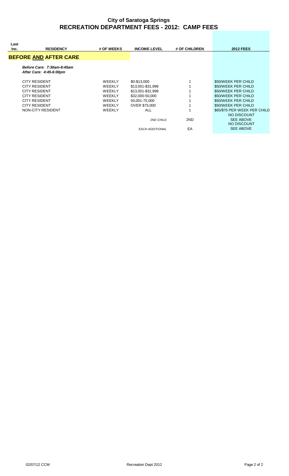#### **City of Saratoga Springs RECREATION DEPARTMENT FEES - 2012: CAMP FEES**

| Last<br>Inc. | <b>RESIDENCY</b>                                      | # OF WEEKS                     | <b>INCOME LEVEL</b>               | # OF CHILDREN | <b>2012 FEES</b>                           |
|--------------|-------------------------------------------------------|--------------------------------|-----------------------------------|---------------|--------------------------------------------|
|              | <b>BEFORE AND AFTER CARE</b>                          |                                |                                   |               |                                            |
|              | Before Care: 7:30am-8:45am<br>After Care: 4:45-6:00pm |                                |                                   |               |                                            |
|              | <b>CITY RESIDENT</b><br><b>CITY RESIDENT</b>          | <b>WEEKLY</b><br><b>WEEKLY</b> | \$0-\$13,000<br>\$13,001-\$31,999 |               | \$50/WEEK PER CHILD<br>\$50/WEEK PER CHILD |
|              | <b>CITY RESIDENT</b>                                  | <b>WEEKLY</b>                  | \$13,001-\$31,999                 |               | \$50/WEEK PER CHILD                        |
|              | <b>CITY RESIDENT</b>                                  | <b>WEEKLY</b>                  | \$32,000-50,000                   |               | \$50/WEEK PER CHILD                        |
|              | <b>CITY RESIDENT</b>                                  | <b>WEEKLY</b>                  | 50,001-75,000                     |               | \$50/WEEK PER CHILD                        |
|              | <b>CITY RESIDENT</b>                                  | <b>WEEKLY</b>                  | <b>OVER \$75,000</b>              |               | \$50/WEEK PER CHILD                        |
|              | NON-CITY RESIDENT                                     | <b>WEEKLY</b>                  | <b>ALL</b>                        |               | \$65/\$75 PER WEEK PER CHILD               |
|              |                                                       |                                |                                   |               | NO DISCOUNT                                |
|              |                                                       |                                | 2ND CHILD                         | 2ND           | <b>SEE ABOVE</b><br>NO DISCOUNT            |
|              |                                                       |                                | <b>EACH ADDITIONAL</b>            | EA            | <b>SEE ABOVE</b>                           |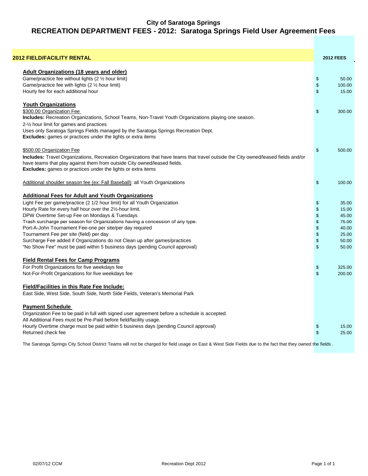#### **City of Saratoga Springs RECREATION DEPARTMENT FEES - 2012: Saratoga Springs Field User Agreement Fees**

| <b>2012 FIELD/FACILITY RENTAL</b>                                                                                                |                    | <b>2012 FEES</b> |
|----------------------------------------------------------------------------------------------------------------------------------|--------------------|------------------|
| <b>Adult Organizations (18 years and older)</b>                                                                                  |                    |                  |
| Game/practice fee without lights (2 1/2 hour limit)                                                                              | \$                 | 50.00            |
| Game/practice fee with lights (2 1/2 hour limit)                                                                                 | \$                 | 100.00           |
| Hourly fee for each additional hour                                                                                              | $\mathbf{\hat{z}}$ | 15.00            |
| <b>Youth Organizations</b>                                                                                                       |                    |                  |
| \$300.00 Organization Fee                                                                                                        | \$                 | 300.00           |
| Includes: Recreation Organizations, School Teams, Non-Travel Youth Organizations playing one season.                             |                    |                  |
| 2-1/ <sub>2</sub> hour limit for games and practices                                                                             |                    |                  |
| Uses only Saratoga Springs Fields managed by the Saratoga Springs Recreation Dept.                                               |                    |                  |
| <b>Excludes:</b> games or practices under the lights or extra items                                                              |                    |                  |
| \$500.00 Organization Fee                                                                                                        | \$                 | 500.00           |
| Includes: Travel Organizations, Recreation Organizations that have teams that travel outside the City owned/leased fields and/or |                    |                  |
| have teams that play against them from outside City owned/leased fields.                                                         |                    |                  |
| Excludes: games or practices under the lights or extra items                                                                     |                    |                  |
| Additional shoulder season fee (ex: Fall Baseball): all Youth Organizations                                                      | \$                 | 100.00           |
| <b>Additional Fees for Adult and Youth Organizations</b>                                                                         |                    |                  |
| Light Fee per game/practice (2 1/2 hour limit) for all Youth Organization                                                        | \$                 | 35.00            |
| Hourly Rate for every half hour over the 2½-hour limit.                                                                          | \$                 | 15.00            |
| DPW Overtime Set-up Fee on Mondays & Tuesdays                                                                                    | \$                 | 45.00            |
| Trash surcharge per season for Organizations having a concession of any type.                                                    | \$                 | 75.00            |
| Port-A-John Tournament Fee-one per site/per day required                                                                         | \$                 | 40.00            |
| Tournament Fee per site (field) per day                                                                                          | \$                 | 25.00            |
| Surcharge Fee added if Organizations do not Clean up after games/practices                                                       | \$                 | 50.00            |
| "No Show Fee" must be paid within 5 business days (pending Council approval)                                                     | \$                 | 50.00            |
| <b>Field Rental Fees for Camp Programs</b>                                                                                       |                    |                  |
| For Profit Organizations for five weekdays fee                                                                                   | \$                 | 325.00           |
| Not-For-Profit Organizations for five weekdays fee                                                                               | \$                 | 200.00           |
| <b>Field/Facilities in this Rate Fee Include:</b>                                                                                |                    |                  |
| East Side, West Side, South Side, North Side Fields, Veteran's Memorial Park                                                     |                    |                  |
| <b>Payment Schedule</b>                                                                                                          |                    |                  |
| Organization Fee to be paid in full with signed user agreement before a schedule is accepted.                                    |                    |                  |
| All Additional Fees must be Pre-Paid before field/facility usage.                                                                |                    |                  |
| Hourly Overtime charge must be paid within 5 business days (pending Council approval)                                            | \$                 | 15.00            |
| Returned check fee                                                                                                               | \$                 | 25.00            |
|                                                                                                                                  |                    |                  |

The Saratoga Springs City School District Teams will not be charged for field usage on East & West Side Fields due to the fact that they owned the fields .

**A m**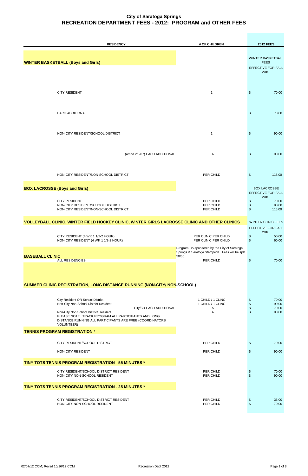| <b>RESIDENCY</b>                                                                                                                                                                                                                                                                | # OF CHILDREN                                                                                | <b>2012 FEES</b>                                                                     |
|---------------------------------------------------------------------------------------------------------------------------------------------------------------------------------------------------------------------------------------------------------------------------------|----------------------------------------------------------------------------------------------|--------------------------------------------------------------------------------------|
| <b>WINTER BASKETBALL (Boys and Girls)</b>                                                                                                                                                                                                                                       |                                                                                              | <b>WINTER BASKETBALL</b><br><b>FEES</b><br>EFFECTIVE FOR FALL<br>2010                |
| <b>CITY RESIDENT</b>                                                                                                                                                                                                                                                            | $\mathbf{1}$                                                                                 | \$<br>70.00                                                                          |
| <b>EACH ADDITIONAL</b>                                                                                                                                                                                                                                                          |                                                                                              | \$<br>70.00                                                                          |
| NON-CITY RESIDENT/SCHOOL DISTRICT                                                                                                                                                                                                                                               | 1                                                                                            | \$<br>90.00                                                                          |
| (amnd 2/6/07) EACH ADDITIONAL                                                                                                                                                                                                                                                   | EA                                                                                           | \$<br>90.00                                                                          |
| NON-CITY RESIDENT/NON-SCHOOL DISTRICT                                                                                                                                                                                                                                           | PER CHILD                                                                                    | \$<br>115.00                                                                         |
| <b>BOX LACROSSE (Boys and Girls)</b>                                                                                                                                                                                                                                            |                                                                                              | <b>BOX LACROSSE</b><br>EFFECTIVE FOR FALL                                            |
| <b>CITY RESIDENT</b><br>NON-CITY RESIDENT/SCHOOL DISTRICT<br>NON-CITY RESIDENT/NON-SCHOOL DISTRICT                                                                                                                                                                              | PER CHILD<br>PER CHILD<br>PER CHILD                                                          | 2010<br>\$<br>70.00<br>\$<br>90.00<br>\$<br>115.00                                   |
| VOLLEYBALL CLINIC, WINTER FIELD HOCKEY CLINIC, WINTER GIRLS LACROSSE CLINIC AND OTHER CLINICS                                                                                                                                                                                   |                                                                                              | <b>WINTER CLINIC FEES</b>                                                            |
| CITY RESIDENT (4 WK 1 1/2-2 HOUR)<br>NON-CITY RESIDENT (4 WK 1 1/2-2 HOUR)                                                                                                                                                                                                      | PER CLINIC PER CHILD<br>PER CLINIC PER CHILD<br>Program Co-sponsored by the City of Saratoga | EFFECTIVE FOR FALL<br>2010<br>\$<br>50.00<br>$\sqrt[6]{\frac{1}{2}}$<br>60.00        |
| <b>BASEBALL CLINIC</b><br><b>ALL RESIDENCIES</b>                                                                                                                                                                                                                                | Springs & Saratoga Stampede. Fees will be split<br>50/50.<br>PER CHILD                       | \$<br>70.00                                                                          |
| SUMMER CLINIC REGISTRATION, LONG DISTANCE RUNNING (NON-CITY/ NON-SCHOOL)                                                                                                                                                                                                        |                                                                                              |                                                                                      |
| City Resident OR School District<br>Non-City Non-School District Resident<br>City/SD EACH ADDITIONAL<br>Non-City Non School District Resident<br>PLEASE NOTE: TRACK PROGRAM ALL PARTICIPANTS AND LONG<br>DISTANCE RUNNING ALL PARTICIPANTS ARE FREE (COORDINATORS<br>VOLUNTEER) | 1 CHILD / 1 CLINC<br>1 CHILD / 1 CLINC<br>EA<br>EA                                           | $\,$<br>70.00<br>$\frac{6}{3}$<br>90.00<br>70.00<br>$\sqrt[6]{\frac{1}{2}}$<br>90.00 |
| <b>TENNIS PROGRAM REGISTRATION *</b>                                                                                                                                                                                                                                            |                                                                                              |                                                                                      |
| CITY RESIDENT/SCHOOL DISTRICT                                                                                                                                                                                                                                                   | PER CHILD                                                                                    | \$<br>70.00                                                                          |

| NON-CITY RESIDENT                                                      | PER CHILD              | 90.00          |
|------------------------------------------------------------------------|------------------------|----------------|
| <b>TINY TOTS TENNIS PROGRAM REGISTRATION - 55 MINUTES *</b>            |                        |                |
| CITY RESIDENT/SCHOOL DISTRICT RESIDENT<br>NON-CITY NON-SCHOOL RESIDENT | PER CHILD<br>PER CHILD | 70.00<br>90.00 |
| <b>TINY TOTS TENNIS PROGRAM REGISTRATION - 25 MINUTES *</b>            |                        |                |
| CITY RESIDENT/SCHOOL DISTRICT RESIDENT<br>NON-CITY NON-SCHOOL RESIDENT | PER CHILD<br>PER CHILD | 35.00<br>70.00 |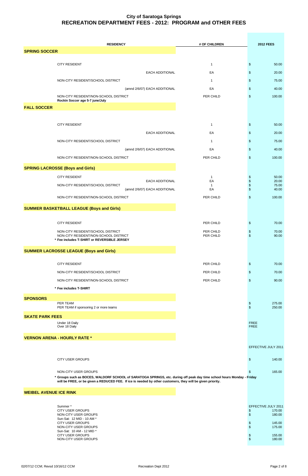| <b>RESIDENCY</b>                                                           | # OF CHILDREN          | <b>2012 FEES</b>                                                |
|----------------------------------------------------------------------------|------------------------|-----------------------------------------------------------------|
| <b>SPRING SOCCER</b>                                                       |                        |                                                                 |
|                                                                            |                        |                                                                 |
| <b>CITY RESIDENT</b>                                                       | $\mathbf{1}$           | \$<br>50.00                                                     |
| EACH ADDITIONAL                                                            | EA                     | \$<br>20.00                                                     |
| NON-CITY RESIDENT/SCHOOL DISTRICT                                          | $\mathbf{1}$           | 75.00<br>\$                                                     |
| (amnd 2/6/07) EACH ADDITIONAL<br>NON-CITY RESIDENT/NON-SCHOOL DISTRICT     | EA<br>PER CHILD        | \$<br>40.00<br>100.00<br>\$                                     |
| Rockin Soccer age 5-7 june/July                                            |                        |                                                                 |
| <b>FALL SOCCER</b>                                                         |                        |                                                                 |
|                                                                            |                        |                                                                 |
| <b>CITY RESIDENT</b>                                                       | $\mathbf{1}$           | \$<br>50.00                                                     |
| EACH ADDITIONAL                                                            | EA                     | \$<br>20.00                                                     |
| NON-CITY RESIDENT/SCHOOL DISTRICT                                          | $\mathbf{1}$           | \$<br>75.00                                                     |
| (amnd 2/6/07) EACH ADDITIONAL                                              | EA                     | \$<br>40.00                                                     |
| NON-CITY RESIDENT/NON-SCHOOL DISTRICT                                      | PER CHILD              | \$<br>100.00                                                    |
| <b>SPRING LACROSSE (Boys and Girls)</b>                                    |                        |                                                                 |
| <b>CITY RESIDENT</b>                                                       | $\mathbf{1}$           | 50.00<br>\$                                                     |
| EACH ADDITIONAL<br>NON-CITY RESIDENT/SCHOOL DISTRICT                       | EA                     | \$<br>20.00<br>\$<br>75.00                                      |
| (amnd 2/6/07) EACH ADDITIONAL                                              | EA                     | \$<br>40.00                                                     |
| NON-CITY RESIDENT/NON-SCHOOL DISTRICT                                      | PER CHILD              | \$<br>100.00                                                    |
| <b>SUMMER BASKETBALL LEAGUE (Boys and Girls)</b>                           |                        |                                                                 |
|                                                                            |                        |                                                                 |
| <b>CITY RESIDENT</b>                                                       | PER CHILD              | 70.00<br>\$                                                     |
| NON-CITY RESIDENT/SCHOOL DISTRICT<br>NON-CITY RESIDENT/NON-SCHOOL DISTRICT | PER CHILD<br>PER CHILD | \$<br>70.00<br>$\mathfrak{S}$<br>90.00                          |
| * Fee includes T-SHIRT or REVERSIBLE JERSEY                                |                        |                                                                 |
| <b>SUMMER LACROSSE LEAGUE (Boys and Girls)</b>                             |                        |                                                                 |
|                                                                            |                        |                                                                 |
| <b>CITY RESIDENT</b>                                                       | PER CHILD              | \$<br>70.00                                                     |
| NON-CITY RESIDENT/SCHOOL DISTRICT                                          | PER CHILD              | \$<br>70.00                                                     |
| NON-CITY RESIDENT/NON-SCHOOL DISTRICT                                      | PER CHILD              | \$<br>90.00                                                     |
| * Fee includes T-SHIRT                                                     |                        |                                                                 |
| <b>SPONSORS</b>                                                            |                        |                                                                 |
| PER TEAM<br>PER TEAM if sponsoring 2 or more teams                         |                        | $\boldsymbol{\mathsf{S}}$<br>275.00<br>$\mathfrak{S}$<br>250.00 |
| <b>SKATE PARK FEES</b>                                                     |                        |                                                                 |
| Under 18 Daily<br>Over 18 Daily                                            |                        | <b>FREE</b><br><b>FREE</b>                                      |
|                                                                            |                        |                                                                 |
| <b>VERNON ARENA - HOURLY RATE *</b>                                        |                        |                                                                 |

EFFECTIVE JULY 2011

#### NON-CITY USER GROUPS **165.00 165.00**

**\* Groups such as BOCES, WALDORF SCHOOL of SARATOGA SPRINGS, etc. during off peak day time school hours Monday - Friday will be FREE, or be given a REDUCED FEE. If ice is needed by other customers, they will be given priority.**

#### **WEIBEL AVENUE ICE RINK**

| Summer*                   | EFFECTIVE JULY 2011 |        |
|---------------------------|---------------------|--------|
| CITY USER GROUPS          | \$.                 | 170.00 |
| NON-CITY USER GROUPS      | \$.                 | 180.00 |
| Sun-Sat: 12 MID - 10 AM * |                     |        |
| CITY USER GROUPS          |                     | 145.00 |
| NON-CITY USER GROUPS      | \$.                 | 175.00 |
| Sun-Sat: 10 AM - 12 MID * |                     |        |
| CITY USER GROUPS          |                     | 155.00 |
| NON-CITY USER GROUPS      |                     | 180.00 |

| FFECTIVE JULY 2011 |  |
|--------------------|--|
| 170.00             |  |
| 180.00             |  |
|                    |  |
| 145.00             |  |
| 175.00             |  |
|                    |  |
| 155.00             |  |
| 180.00             |  |
|                    |  |

02/07/12 CCM; Revsd 10/16/12 CCM COM Recreation Dept 2012 Recreation Dept 2012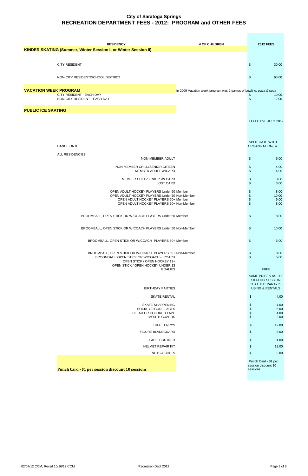| <b>RESIDENCY</b>                                                                                    | # OF CHILDREN                                                      | <b>2012 FEES</b>                                                 |
|-----------------------------------------------------------------------------------------------------|--------------------------------------------------------------------|------------------------------------------------------------------|
| <b>KINDER SKATING (Summer, Winter Session I, or Winter Session II)</b>                              |                                                                    |                                                                  |
|                                                                                                     |                                                                    |                                                                  |
| <b>CITY RESIDENT</b>                                                                                |                                                                    | \$<br>30.00                                                      |
|                                                                                                     |                                                                    |                                                                  |
| NON-CITY RESIDENT/SCHOOL DISTRICT                                                                   |                                                                    | \$<br>60.00                                                      |
|                                                                                                     |                                                                    |                                                                  |
| <b>VACATION WEEK PROGRAM</b>                                                                        | In 2009 Vacation week program was 2 games of bowling, pizza & soda |                                                                  |
| CITY RESIDENT - EACH DAY<br>NON-CITY RESIDENT - EACH DAY                                            |                                                                    | \$<br>10.00<br>$\frac{1}{2}$<br>12.00                            |
|                                                                                                     |                                                                    |                                                                  |
| <b>PUBLIC ICE SKATING</b>                                                                           |                                                                    |                                                                  |
|                                                                                                     |                                                                    | EFFECTIVE JULY 2012                                              |
|                                                                                                     |                                                                    |                                                                  |
|                                                                                                     |                                                                    |                                                                  |
|                                                                                                     |                                                                    |                                                                  |
| DANCE ON ICE                                                                                        |                                                                    | SPLIT GATE WITH<br>ORGANIZATION(S)                               |
| ALL RESIDENCIES                                                                                     |                                                                    |                                                                  |
| NON-MEMBER ADULT                                                                                    |                                                                    | \$<br>5.00                                                       |
| NON-MEMBER CHILD/SENIOR CITIZEN                                                                     |                                                                    | \$<br>4.00                                                       |
| MEMBER ADULT W/CARD                                                                                 |                                                                    | \$<br>4.00                                                       |
| MEMBER CHILD/SENIOR W/ CARD                                                                         |                                                                    | \$<br>3.00                                                       |
| <b>LOST CARD</b>                                                                                    |                                                                    | \$<br>3.00                                                       |
| OPEN ADULT HOCKEY PLAYERS Under 50 Member<br>OPEN ADULT HOCKEY PLAYERS Under 50 Non-Member          |                                                                    | \$<br>8.00<br>$\, \, \raisebox{12pt}{$\scriptstyle \$}$<br>10.00 |
| OPEN ADULT HOCKEY PLAYERS 50+ Member                                                                |                                                                    | $\, \, \raisebox{12pt}{$\scriptstyle \$}$<br>6.00                |
| OPEN ADULT HOCKEY PLAYERS 50+ Non-Member                                                            |                                                                    | \$<br>8.00                                                       |
| BROOMBALL, OPEN STICK OR W/COACH PLAYERS Under 50 Member                                            |                                                                    | \$<br>8.00                                                       |
|                                                                                                     |                                                                    |                                                                  |
| BROOMBALL, OPEN STICK OR W/COACH PLAYERS Under 50 Non-Member                                        |                                                                    | \$<br>10.00                                                      |
|                                                                                                     |                                                                    |                                                                  |
| BROOMBALL, OPEN STICK OR W/COACH PLAYERS 50+ Member                                                 |                                                                    | \$<br>6.00                                                       |
|                                                                                                     |                                                                    |                                                                  |
| BROOMBALL, OPEN STICK OR W/COACH PLAYERS 50+ Non-Member<br>BROOMBALL, OPEN STICK OR W/COACH - COACH |                                                                    | \$<br>8.00<br>$\sqrt[6]{\frac{1}{2}}$<br>5.00                    |
| OPEN STICK / OPEN HOCKEY 13+                                                                        |                                                                    |                                                                  |
| OPEN STICK / OPEN HOCKEY UNDER 13<br><b>GOALIES</b>                                                 |                                                                    | <b>FREE</b>                                                      |
|                                                                                                     |                                                                    | SAME PRICES AS THE                                               |
|                                                                                                     |                                                                    | <b>SKATING SESSION</b>                                           |
| <b>BIRTHDAY PARTIES</b>                                                                             |                                                                    | THAT THE PARTY IS<br><b>USING &amp; RENTALS</b>                  |
| <b>SKATE RENTAL</b>                                                                                 |                                                                    | \$<br>4.00                                                       |
|                                                                                                     |                                                                    |                                                                  |
| <b>SKATE SHARPENING</b><br><b>HOCKEY/FIGURE LACES</b>                                               |                                                                    | \$<br>4.00<br>$\, \, \raisebox{12pt}{$\scriptstyle \$}$<br>5.00  |
| CLEAR OR COLORED TAPE<br><b>MOUTH GUARDS</b>                                                        |                                                                    | $\boldsymbol{\$}$<br>4.00<br>$\,$<br>2.00                        |
|                                                                                                     |                                                                    |                                                                  |
| <b>TUFF TERRYS</b>                                                                                  |                                                                    | \$<br>12.00                                                      |
| <b>FIGURE BLADEGUARD</b>                                                                            |                                                                    | \$<br>8.00                                                       |
| <b>LACE TIGHTNER</b>                                                                                |                                                                    | \$<br>4.00                                                       |
| <b>HELMET REPAIR KIT</b>                                                                            |                                                                    | \$<br>12.00                                                      |

**Punch Card - \$1 per session discount 10 sessions**

 Punch Card - \$1 per session discount 10 sessions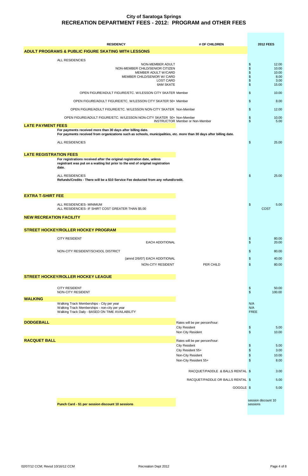| <b>RESIDENCY</b>                                                                                                                                                                    | # OF CHILDREN                             |                                  | <b>2012 FEES</b>                                 |
|-------------------------------------------------------------------------------------------------------------------------------------------------------------------------------------|-------------------------------------------|----------------------------------|--------------------------------------------------|
| <b>ADULT PROGRAMS &amp; PUBLIC FIGURE SKATING WITH LESSONS</b>                                                                                                                      |                                           |                                  |                                                  |
|                                                                                                                                                                                     |                                           |                                  |                                                  |
| ALL RESIDENCIES<br>NON-MEMBER ADULT<br>NON-MEMBER CHILD/SENIOR CITIZEN<br>MEMBER ADULT W/CARD<br>MEMBER CHILD/SENIOR W/ CARD                                                        | <b>LOST CARD</b><br><b>6AM SKATE</b>      | \$<br>\$<br>\$<br>\$<br>\$<br>\$ | 12.00<br>10.00<br>10.00<br>8.00<br>3.00<br>15.00 |
| OPEN FIGURE/ADULT FIGURE/ETC. W/LESSON CITY SKATER Member                                                                                                                           |                                           | \$                               | 10.00                                            |
| OPEN FIGURE/ADULT FIGURE/ETC. W/LESSON CITY SKATER 50+ Member                                                                                                                       |                                           | \$                               | 8.00                                             |
| OPEN FIGURE/ADULT FIGURE/ETC. W/LESSON NON-CITY SKATER Non-Member                                                                                                                   |                                           | \$                               | 12.00                                            |
| OPEN FIGURE/ADULT FIGURE/ETC. W/LESSON NON-CITY SKATER 50+ Non-Member                                                                                                               | <b>INSTRUCTOR Member or Non-Member</b>    | \$<br>$\dot{\$}$                 | 10.00<br>5.00                                    |
| <b>LATE PAYMENT FEES</b>                                                                                                                                                            |                                           |                                  |                                                  |
| For payments received more than 30 days after billing date.<br>For payments received from organizations such as schools, municipalities, etc. more than 30 days after billing date. |                                           |                                  |                                                  |
| ALL RESIDENCIES                                                                                                                                                                     |                                           | \$                               | 25.00                                            |
| <b>LATE REGISTRATION FEES</b>                                                                                                                                                       |                                           |                                  |                                                  |
| For registrations received after the original registration date, unless<br>registrant was put on a waiting list prior to the end of original registration<br>date.                  |                                           |                                  |                                                  |
| <b>ALL RESIDENCIES</b><br>Refunds/Credits - There will be a \$10 Service Fee deducted from any refund/credit.                                                                       |                                           | \$                               | 25.00                                            |
| <b>EXTRA T-SHIRT FEE</b>                                                                                                                                                            |                                           |                                  |                                                  |
| ALL RESIDENCIES- MINIMUM<br>ALL RESIDENCIES- IF SHIRT COST GREATER THAN \$5.00                                                                                                      |                                           | \$                               | 5.00<br><b>COST</b>                              |
| <b>NEW RECREATION FACILITY</b>                                                                                                                                                      |                                           |                                  |                                                  |
|                                                                                                                                                                                     |                                           |                                  |                                                  |
| <b>STREET HOCKEY/ROLLER HOCKEY PROGRAM</b>                                                                                                                                          |                                           |                                  |                                                  |
| <b>CITY RESIDENT</b><br><b>EACH ADDITIONAL</b>                                                                                                                                      |                                           | \$<br>\$                         | 80.00<br>20.00                                   |
| NON-CITY RESIDENT/SCHOOL DISTRICT                                                                                                                                                   |                                           | \$                               | 80.00                                            |
| (amnd 2/6/07) EACH ADDITIONAL                                                                                                                                                       |                                           | \$                               | 40.00                                            |
| NON-CITY RESIDENT                                                                                                                                                                   | PER CHILD                                 | \$                               | 80.00                                            |
| <b>STREET HOCKEY/ROLLER HOCKEY LEAGUE</b>                                                                                                                                           |                                           |                                  |                                                  |
| <b>CITY RESIDENT</b><br>NON-CITY RESIDENT                                                                                                                                           |                                           | \$<br>\$                         | 50.00<br>100.00                                  |
| <b>WALKING</b>                                                                                                                                                                      |                                           | N/A                              |                                                  |
| Walking Track Memberships - City per year<br>Walking Track Memberships - non-city per year<br>Walking Track Daily - BASED ON TIME AVAILABILITY                                      |                                           | N/A<br><b>FREE</b>               |                                                  |
| <b>DODGEBALL</b>                                                                                                                                                                    | Rates will be per person/hour:            |                                  |                                                  |
|                                                                                                                                                                                     | <b>City Resident</b><br>Non City Resident | \$<br>\$                         | 5.00<br>10.00                                    |
| <b>RACQUET BALL</b>                                                                                                                                                                 | Rates will be per person/hour:            |                                  |                                                  |
|                                                                                                                                                                                     | <b>City Resident</b>                      | \$                               | 5.00                                             |

| City Resident 55+                 | \$<br>3.00          |
|-----------------------------------|---------------------|
| Non-City Resident                 | \$<br>10.00         |
| Non-City Resident 55+             | \$<br>8.00          |
|                                   |                     |
| RACQUET/PADDLE & BALLS RENTAL \$  | 3.00                |
| RACQUET/PADDLE OR BALLS RENTAL \$ |                     |
|                                   | 5.00                |
| GOGGLE \$                         | 5.00                |
|                                   |                     |
|                                   | session discount 10 |
|                                   | sessions            |
|                                   |                     |
|                                   |                     |

**Punch Card - \$1 per session discount 10 sessions**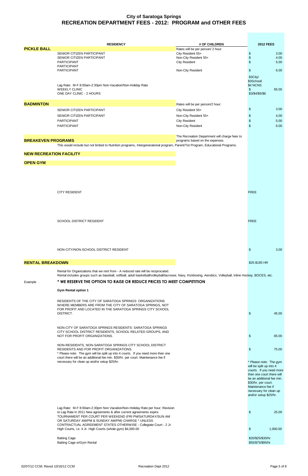|                                | <b>RESIDENCY</b>                                                                                                                                            | # OF CHILDREN                                 | <b>2012 FEES</b>          |       |
|--------------------------------|-------------------------------------------------------------------------------------------------------------------------------------------------------------|-----------------------------------------------|---------------------------|-------|
| <b>PICKLE BALL</b>             |                                                                                                                                                             | Rates will be per person/ 2 hour:             |                           |       |
|                                | SENIOR CITIZEN PARTICIPANT                                                                                                                                  | City Resident 55+                             | $\boldsymbol{\mathsf{S}}$ | 3.00  |
|                                | SENIOR CITIZEN PARTICIPANT                                                                                                                                  | Non-City Resident 55+                         | $\boldsymbol{\$}$         | 4.00  |
|                                | <b>PARTICIPANT</b>                                                                                                                                          | <b>City Resident</b>                          | $\frac{1}{2}$             | 5.00  |
|                                | <b>PARTICIPANT</b>                                                                                                                                          |                                               |                           |       |
|                                | <b>PARTICIPANT</b>                                                                                                                                          | Non-City Resident                             | $\frac{1}{2}$             | 6.00  |
|                                |                                                                                                                                                             |                                               | \$3City/                  |       |
|                                |                                                                                                                                                             |                                               | \$3School/                |       |
|                                | Lag Rate: M-F 8:00am-2:30pm Non-Vacation/Non-Holiday Rate                                                                                                   |                                               | \$4 NCNS                  |       |
|                                | <b>WEEKLY CLINIC</b>                                                                                                                                        |                                               | \$                        | 65.00 |
|                                | ONE DAY CLINIC - 2 HOURS                                                                                                                                    |                                               | \$3/\$4/\$5/\$6           |       |
|                                |                                                                                                                                                             |                                               |                           |       |
| <b>BADMINTON</b>               |                                                                                                                                                             | Rates will be per person/2 hour:              |                           |       |
|                                | SENIOR CITIZEN PARTICIPANT                                                                                                                                  |                                               | \$                        | 3.00  |
|                                |                                                                                                                                                             | City Resident 55+                             |                           |       |
|                                | SENIOR CITIZEN PARTICIPANT                                                                                                                                  | Non-City Resident 55+                         | \$                        | 4.00  |
|                                | <b>PARTICIPANT</b>                                                                                                                                          | <b>City Resident</b>                          | \$                        | 5.00  |
|                                | <b>PARTICIPANT</b>                                                                                                                                          | Non-City Resident                             | \$                        | 6.00  |
|                                |                                                                                                                                                             |                                               |                           |       |
|                                |                                                                                                                                                             | The Recreation Department will charge fees to |                           |       |
| <b>BREAKEVEN PROGRAMS</b>      |                                                                                                                                                             | programs based on the expenses.               |                           |       |
|                                | This would include but not limited to Nutrition programs, Intergenerational program, Parent/Tot Program, Educational Programs.                              |                                               |                           |       |
|                                |                                                                                                                                                             |                                               |                           |       |
| <b>NEW RECREATION FACILITY</b> |                                                                                                                                                             |                                               |                           |       |
|                                |                                                                                                                                                             |                                               |                           |       |
| <b>OPEN GYM</b>                |                                                                                                                                                             |                                               |                           |       |
|                                |                                                                                                                                                             |                                               |                           |       |
|                                |                                                                                                                                                             |                                               |                           |       |
|                                |                                                                                                                                                             |                                               |                           |       |
|                                |                                                                                                                                                             |                                               |                           |       |
|                                |                                                                                                                                                             |                                               |                           |       |
|                                | <b>CITY RESIDENT</b>                                                                                                                                        |                                               | <b>FREE</b>               |       |
|                                |                                                                                                                                                             |                                               |                           |       |
|                                |                                                                                                                                                             |                                               |                           |       |
|                                |                                                                                                                                                             |                                               |                           |       |
|                                |                                                                                                                                                             |                                               |                           |       |
|                                |                                                                                                                                                             |                                               |                           |       |
|                                | SCHOOL DISTRICT RESIDENT                                                                                                                                    |                                               | <b>FREE</b>               |       |
|                                |                                                                                                                                                             |                                               |                           |       |
|                                |                                                                                                                                                             |                                               |                           |       |
|                                |                                                                                                                                                             |                                               |                           |       |
|                                |                                                                                                                                                             |                                               |                           |       |
|                                |                                                                                                                                                             |                                               |                           |       |
|                                | NON-CITY/NON-SCHOOL DISTRICT RESIDENT                                                                                                                       |                                               | \$                        | 3.00  |
|                                |                                                                                                                                                             |                                               |                           |       |
|                                |                                                                                                                                                             |                                               |                           |       |
| <b>RENTAL BREAKDOWN</b>        |                                                                                                                                                             |                                               | \$25-\$195 HR             |       |
|                                |                                                                                                                                                             |                                               |                           |       |
|                                | Rental for Organizations that we rent from - A reduced rate will be reciprocated.                                                                           |                                               |                           |       |
|                                | Rental includes groups such as baseball, softball, adult basketball/volleyball/lacrosee, Navy, Kickboxing, Aerobics, Volleyball, Inline Hockey, BOCES, etc. |                                               |                           |       |
| Example                        | * WE RESERVE THE OPTION TO RAISE OR REDUCE PRICES TO MEET COMPETITION                                                                                       |                                               |                           |       |
|                                |                                                                                                                                                             |                                               |                           |       |
|                                | <b>Gym Rental option 1</b>                                                                                                                                  |                                               |                           |       |
|                                |                                                                                                                                                             |                                               |                           |       |
|                                | <b>RESIDENTS OF THE CITY OF SARATOGA SPRINGS: ORGANIZATIONS</b>                                                                                             |                                               |                           |       |
|                                | WHERE MEMBERS ARE FROM THE CITY OF SARATOGA SPRINGS, NOT                                                                                                    |                                               |                           |       |
|                                | FOR PROFIT AND LOCATED IN THE SARATOGA SPRINGS CITY SCHOOL                                                                                                  |                                               |                           |       |
|                                | DISTRICT.                                                                                                                                                   |                                               | \$.                       | 45.00 |
|                                |                                                                                                                                                             |                                               |                           |       |
|                                |                                                                                                                                                             |                                               |                           |       |
|                                | NON-CITY OF SARATOGA SPRINGS RESIDENTS: SARATOGA SPRINGS                                                                                                    |                                               |                           |       |
|                                | CITY SCHOOL DISTRICT RESIDENTS, SCHOOL RELATED GROUPS, AND                                                                                                  |                                               |                           |       |
|                                | NOT FOR PROFIT ORGANIZATIONS.                                                                                                                               |                                               | \$                        | 65.00 |
|                                | NON-RESIDENTS, NON-SARATOGA SPRINGS CITY SCHOOL DISTRICT                                                                                                    |                                               |                           |       |
|                                |                                                                                                                                                             |                                               |                           |       |

RESIDENTS AND FOR PROFIT ORGANIZATIONS. THE SERVICE OF STATE STATES AND THE SERVICE OF STATES AND TO SERVICE O

\* Please note: The gym will be split up into 4 courts. If you need more then one court there will be an additional fee min. \$30/hr. per court. Maintenance fee if necessary for clean up and/or setup \$25/hr. The contract the state of the state of the gym

will be split up into 4 courts. If you need more then one court there will be an additional fee min. \$30/hr. per court. Maintenance fee if necessary for clean up and/or setup \$25/hr.

Lag Rate: M-F 8:00am-2:30pm Non Vacation/Non-Holiday Rate per hour; Revision to Lag Rate in 2011 New agreements & after current agreements expire. **25.00 25.00** TOURNAMENT PER COURT PER WEEKEND (FRI PM/SATURDAY/SUN AM OR SATURDAY AM/PM & SUNDAY AM/PM) CHARGE \* UNLESS CONTRACTUAL AGREEMENT STATES OTHERWISE - Collegiate Court - 2 Jr. High Courts, i.e. 4 Jr. High Courts (whole gym) \$4,000.00 **\$** 1,000.00

Batting Cage \$20/\$25/\$30/hr Batting Cage w/Gym Rental \$55/\$75/\$95/hr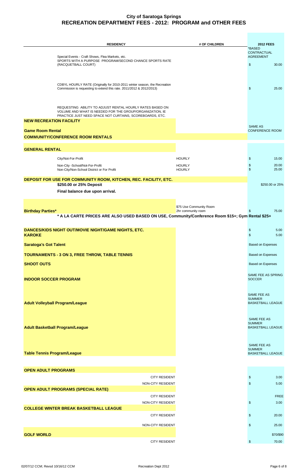| <b>RESIDENCY</b>                                                                                                                                                                  | # OF CHILDREN                                 | <b>2012 FEES</b>                                         |
|-----------------------------------------------------------------------------------------------------------------------------------------------------------------------------------|-----------------------------------------------|----------------------------------------------------------|
| Special Events - Craft Shows, Flea Markets, etc.<br>SPORTS WITH A PURPOSE PROGRAM/SECOND CHANCE SPORTS RATE                                                                       |                                               | *BASED<br><b>CONTRACTUAL</b><br><b>AGREEMENT</b>         |
| (RACQUETBALL COURT)                                                                                                                                                               |                                               | $\mathfrak{S}$<br>30.00                                  |
| CDBYL HOURLY RATE (Originally for 2010-2011 winter season, the Recreation<br>Commission is requesting to extend this rate. 2011/2012 & 2012/2013)                                 |                                               | \$<br>25.00                                              |
| REQUESTING ABILITY TO ADJUST RENTAL HOURLY RATES BASED ON<br>VOLUME AND WHAT IS NEEDED FOR THE GROUP/ORGANIZATION, IE<br>PRACTICE JUST NEED SPACE NOT CURTAINS, SCOREBOARDS, ETC. |                                               |                                                          |
| <b>NEW RECREATION FACILITY</b>                                                                                                                                                    |                                               | SAME AS                                                  |
| <b>Game Room Rental</b>                                                                                                                                                           |                                               | <b>CONFERENCE ROOM</b>                                   |
| <b>COMMUNITY/CONFERENCE ROOM RENTALS</b>                                                                                                                                          |                                               |                                                          |
| <b>GENERAL RENTAL</b>                                                                                                                                                             |                                               |                                                          |
| City/Not-For-Profit                                                                                                                                                               | <b>HOURLY</b>                                 | \$<br>15.00                                              |
| Non-City -School/Not-For-Profit                                                                                                                                                   | <b>HOURLY</b>                                 | 20.00<br>\$                                              |
| Non-City/Non-School District or For Profit                                                                                                                                        | <b>HOURLY</b>                                 | \$<br>25.00                                              |
| DEPOSIT FOR USE FOR COMMUNITY ROOM, KITCHEN, REC. FACILITY, ETC.                                                                                                                  |                                               |                                                          |
| \$250.00 or 25% Deposit                                                                                                                                                           |                                               | \$250.00 or 25%                                          |
| Final balance due upon arrival.                                                                                                                                                   |                                               |                                                          |
|                                                                                                                                                                                   |                                               |                                                          |
| <b>Birthday Parties*</b>                                                                                                                                                          | \$75 Use Community Room<br>2hr community room | \$<br>75.00                                              |
| * A LA CARTE PRICES ARE ALSO USED BASED ON USE, Community/Conference Room \$15+; Gym Rental \$25+                                                                                 |                                               |                                                          |
| DANCES/KIDS NIGHT OUT/MOVIE NIGHT/GAME NIGHTS, ETC.                                                                                                                               |                                               | 5.00<br>\$                                               |
| <b>KAROKE</b>                                                                                                                                                                     |                                               | \$<br>5.00                                               |
| <b>Saratoga's Got Talent</b>                                                                                                                                                      |                                               | <b>Based on Expenses</b>                                 |
| <b>TOURNAMENTS - 3 ON 3, FREE THROW, TABLE TENNIS</b>                                                                                                                             |                                               | <b>Based on Expenses</b>                                 |
| <b>SHOOT OUTS</b>                                                                                                                                                                 |                                               | <b>Based on Expenses</b>                                 |
| <b>INDOOR SOCCER PROGRAM</b>                                                                                                                                                      |                                               | SAME FEE AS SPRING<br><b>SOCCER</b>                      |
| <b>Adult Volleyball Program/League</b>                                                                                                                                            |                                               | SAME FEE AS<br><b>SUMMER</b><br><b>BASKETBALL LEAGUE</b> |
| <b>Adult Basketball Program/League</b>                                                                                                                                            |                                               | SAME FEE AS<br><b>SUMMER</b><br><b>BASKETBALL LEAGUE</b> |
|                                                                                                                                                                                   |                                               | SAME FEE AS<br><b>SUMMER</b>                             |

| <b>OPEN ADULT PROGRAMS</b>                    |
|-----------------------------------------------|
| <b>CITY RESIDENT</b>                          |
| NON-CITY RESIDENT                             |
| <b>OPEN ADULT PROGRAMS (SPECIAL RATE)</b>     |
| <b>CITY RESIDENT</b>                          |
| NON-CITY RESIDENT                             |
| <b>COLLEGE WINTER BREAK BASKETBALL LEAGUE</b> |
| <b>CITY RESIDENT</b>                          |
| NON-CITY RESIDENT                             |
| <b>GOLF WORLD</b>                             |
| <b>CITY RESIDENT</b>                          |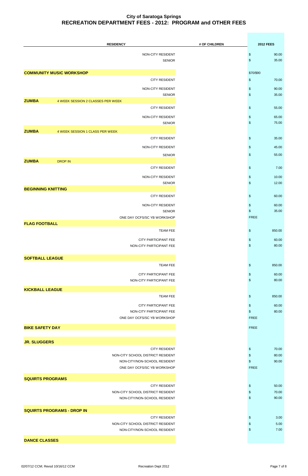|                           | <b>RESIDENCY</b>                                          | # OF CHILDREN | <b>2012 FEES</b>                          |
|---------------------------|-----------------------------------------------------------|---------------|-------------------------------------------|
|                           | NON-CITY RESIDENT                                         |               | $\boldsymbol{\$}$<br>90.00                |
|                           | <b>SENIOR</b>                                             |               | $$\mathbb{S}$$<br>35.00                   |
|                           | <b>COMMUNITY MUSIC WORKSHOP</b>                           |               | \$70/\$90                                 |
|                           | <b>CITY RESIDENT</b>                                      |               | \$<br>70.00                               |
|                           | NON-CITY RESIDENT                                         |               | $\,$<br>90.00                             |
|                           | <b>SENIOR</b>                                             |               | \$<br>35.00                               |
| <b>ZUMBA</b>              | 4 WEEK SESSION 2 CLASSES PER WEEK<br><b>CITY RESIDENT</b> |               | $\,$<br>55.00                             |
|                           | NON-CITY RESIDENT                                         |               | $\,$<br>65.00                             |
|                           | <b>SENIOR</b>                                             |               | \$<br>75.00                               |
| <b>ZUMBA</b>              | 4 WEEK SESSION 1 CLASS PER WEEK                           |               |                                           |
|                           | <b>CITY RESIDENT</b>                                      |               | $\,$<br>35.00                             |
|                           | NON-CITY RESIDENT                                         |               | \$<br>45.00                               |
|                           | <b>SENIOR</b>                                             |               | $\,$<br>55.00                             |
| <b>ZUMBA</b>              | <b>DROP IN</b><br><b>CITY RESIDENT</b>                    |               | 7.00<br>$\,$                              |
|                           | NON-CITY RESIDENT                                         |               | $\,$<br>10.00                             |
|                           | <b>SENIOR</b>                                             |               | $\,$<br>12.00                             |
| <b>BEGINNING KNITTING</b> |                                                           |               |                                           |
|                           | <b>CITY RESIDENT</b>                                      |               | $\,$<br>60.00                             |
|                           | NON-CITY RESIDENT<br><b>SENIOR</b>                        |               | \$<br>60.00<br>35.00<br>\$                |
|                           | ONE DAY OCFS/SC YB WORKSHOP                               |               | <b>FREE</b>                               |
| <b>FLAG FOOTBALL</b>      |                                                           |               |                                           |
|                           | <b>TEAM FEE</b>                                           |               | $\frac{1}{2}$<br>850.00                   |
|                           | CITY PARTICIPANT FEE<br>NON-CITY PARTICIPANT FEE          |               | $\boldsymbol{\$}$<br>60.00<br>\$<br>80.00 |
|                           |                                                           |               |                                           |
| <b>SOFTBALL LEAGUE</b>    |                                                           |               |                                           |
|                           | <b>TEAM FEE</b>                                           |               | $\boldsymbol{\$}$<br>850.00               |
|                           | CITY PARTICIPANT FEE<br>NON-CITY PARTICIPANT FEE          |               | \$<br>60.00<br>$\boldsymbol{\$}$<br>80.00 |
|                           |                                                           |               |                                           |
| <b>KICKBALL LEAGUE</b>    | <b>TEAM FEE</b>                                           |               | $\,$<br>850.00                            |
|                           | CITY PARTICIPANT FEE                                      |               | $\boldsymbol{\$}$<br>60.00                |
|                           | NON-CITY PARTICIPANT FEE                                  |               | $\frac{1}{2}$<br>80.00                    |
|                           | ONE DAY OCFS/SC YB WORKSHOP                               |               | <b>FREE</b>                               |
| <b>BIKE SAFETY DAY</b>    |                                                           |               | <b>FREE</b>                               |
|                           |                                                           |               |                                           |
| <b>JR. SLUGGERS</b>       | <b>CITY RESIDENT</b>                                      |               | 70.00<br>\$                               |
|                           | NON-CITY SCHOOL DISTRICT RESIDENT                         |               | $\,$<br>80.00                             |
|                           | NON-CITY/NON-SCHOOL RESIDENT                              |               | \$<br>90.00                               |
|                           | ONE DAY OCFS/SC YB WORKSHOP                               |               | <b>FREE</b>                               |
| <b>SQUIRTS PROGRAMS</b>   |                                                           |               |                                           |
|                           | <b>CITY RESIDENT</b><br>NON-CITY SCHOOL DISTRICT RESIDENT |               | $\frac{1}{2}$<br>50.00<br>70.00<br>\$     |
|                           | NON-CITY/NON-SCHOOL RESIDENT                              |               | 90.00<br>\$                               |
|                           |                                                           |               |                                           |
|                           | <b>SQUIRTS PROGRAMS - DROP IN</b><br><b>CITY RESIDENT</b> |               | 3.00<br>$\boldsymbol{\mathsf{s}}$         |
|                           | NON-CITY SCHOOL DISTRICT RESIDENT                         |               | 5.00<br>\$                                |
|                           | NON-CITY/NON-SCHOOL RESIDENT                              |               | 7.00<br>\$                                |
| <b>DANCE CLASSES</b>      |                                                           |               |                                           |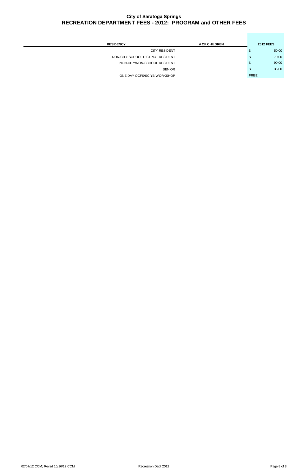| <b>RESIDENCY</b>                  | # OF CHILDREN |             | <b>2012 FEES</b> |
|-----------------------------------|---------------|-------------|------------------|
| <b>CITY RESIDENT</b>              |               | S.          | 50.00            |
| NON-CITY SCHOOL DISTRICT RESIDENT |               | S.          | 70.00            |
| NON-CITY/NON-SCHOOL RESIDENT      |               | S.          | 90.00            |
| <b>SENIOR</b>                     |               | S.          | 35.00            |
| ONE DAY OCFS/SC YB WORKSHOP       |               | <b>FREE</b> |                  |